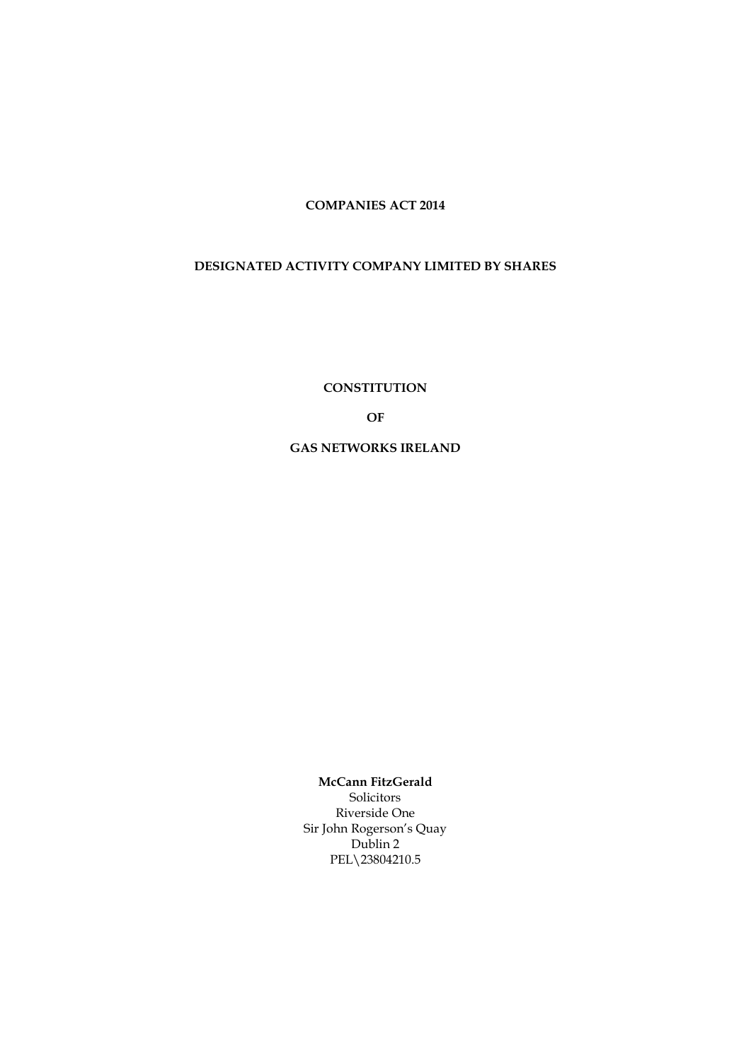**COMPANIES ACT 2014**

## **DESIGNATED ACTIVITY COMPANY LIMITED BY SHARES**

**CONSTITUTION**

**OF** 

**GAS NETWORKS IRELAND**

**McCann FitzGerald** Solicitors Riverside One Sir John Rogerson's Quay Dublin 2 PEL\23804210.5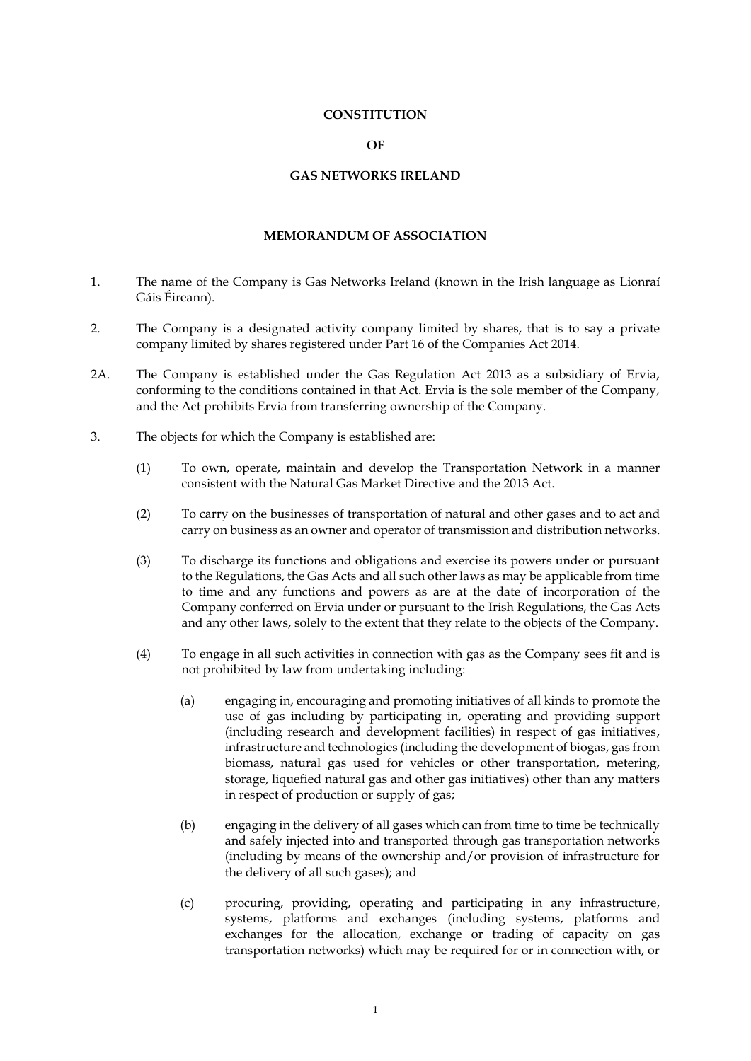#### **CONSTITUTION**

#### **OF**

## **GAS NETWORKS IRELAND**

### **MEMORANDUM OF ASSOCIATION**

- 1. The name of the Company is Gas Networks Ireland (known in the Irish language as Lionraí Gáis Éireann).
- 2. The Company is a designated activity company limited by shares, that is to say a private company limited by shares registered under Part 16 of the Companies Act 2014.
- 2A. The Company is established under the Gas Regulation Act 2013 as a subsidiary of Ervia, conforming to the conditions contained in that Act. Ervia is the sole member of the Company, and the Act prohibits Ervia from transferring ownership of the Company.
- 3. The objects for which the Company is established are:
	- (1) To own, operate, maintain and develop the Transportation Network in a manner consistent with the Natural Gas Market Directive and the 2013 Act.
	- (2) To carry on the businesses of transportation of natural and other gases and to act and carry on business as an owner and operator of transmission and distribution networks.
	- (3) To discharge its functions and obligations and exercise its powers under or pursuant to the Regulations, the Gas Acts and all such other laws as may be applicable from time to time and any functions and powers as are at the date of incorporation of the Company conferred on Ervia under or pursuant to the Irish Regulations, the Gas Acts and any other laws, solely to the extent that they relate to the objects of the Company.
	- (4) To engage in all such activities in connection with gas as the Company sees fit and is not prohibited by law from undertaking including:
		- (a) engaging in, encouraging and promoting initiatives of all kinds to promote the use of gas including by participating in, operating and providing support (including research and development facilities) in respect of gas initiatives, infrastructure and technologies (including the development of biogas, gas from biomass, natural gas used for vehicles or other transportation, metering, storage, liquefied natural gas and other gas initiatives) other than any matters in respect of production or supply of gas;
		- (b) engaging in the delivery of all gases which can from time to time be technically and safely injected into and transported through gas transportation networks (including by means of the ownership and/or provision of infrastructure for the delivery of all such gases); and
		- (c) procuring, providing, operating and participating in any infrastructure, systems, platforms and exchanges (including systems, platforms and exchanges for the allocation, exchange or trading of capacity on gas transportation networks) which may be required for or in connection with, or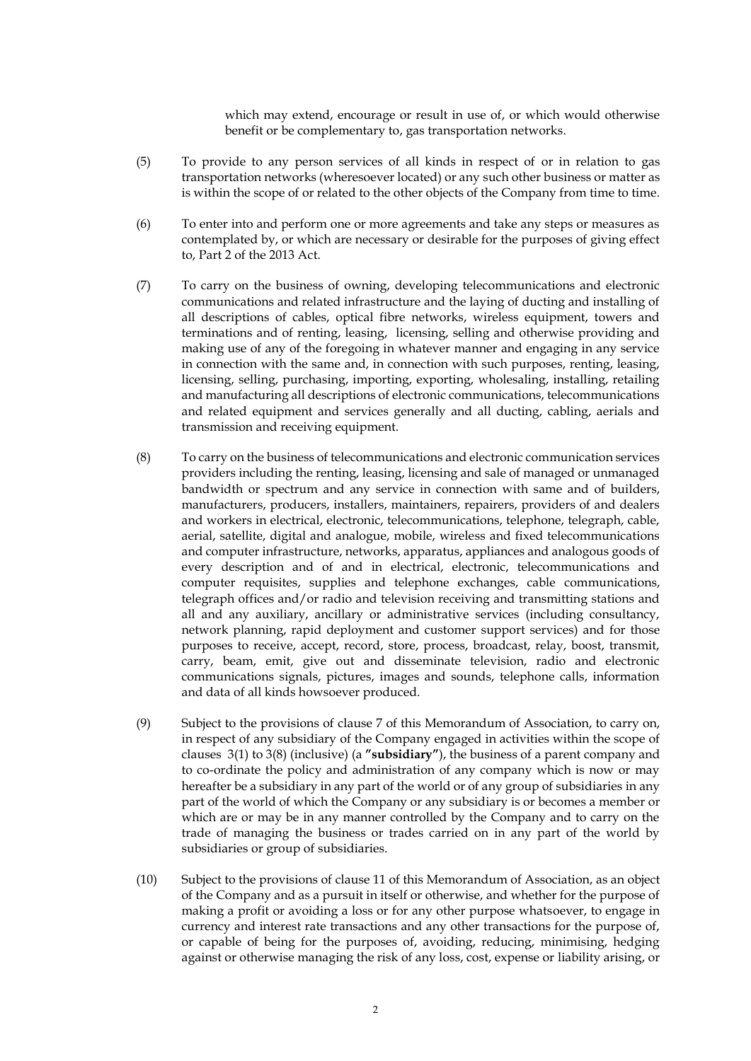which may extend, encourage or result in use of, or which would otherwise benefit or be complementary to, gas transportation networks.

- (5) To provide to any person services of all kinds in respect of or in relation to gas transportation networks (wheresoever located) or any such other business or matter as is within the scope of or related to the other objects of the Company from time to time.
- <span id="page-2-1"></span>(6) To enter into and perform one or more agreements and take any steps or measures as contemplated by, or which are necessary or desirable for the purposes of giving effect to, Part 2 of the 2013 Act.
- (7) To carry on the business of owning, developing telecommunications and electronic communications and related infrastructure and the laying of ducting and installing of all descriptions of cables, optical fibre networks, wireless equipment, towers and terminations and of renting, leasing, licensing, selling and otherwise providing and making use of any of the foregoing in whatever manner and engaging in any service in connection with the same and, in connection with such purposes, renting, leasing, licensing, selling, purchasing, importing, exporting, wholesaling, installing, retailing and manufacturing all descriptions of electronic communications, telecommunications and related equipment and services generally and all ducting, cabling, aerials and transmission and receiving equipment.
- (8) To carry on the business of telecommunications and electronic communication services providers including the renting, leasing, licensing and sale of managed or unmanaged bandwidth or spectrum and any service in connection with same and of builders, manufacturers, producers, installers, maintainers, repairers, providers of and dealers and workers in electrical, electronic, telecommunications, telephone, telegraph, cable, aerial, satellite, digital and analogue, mobile, wireless and fixed telecommunications and computer infrastructure, networks, apparatus, appliances and analogous goods of every description and of and in electrical, electronic, telecommunications and computer requisites, supplies and telephone exchanges, cable communications, telegraph offices and/or radio and television receiving and transmitting stations and all and any auxiliary, ancillary or administrative services (including consultancy, network planning, rapid deployment and customer support services) and for those purposes to receive, accept, record, store, process, broadcast, relay, boost, transmit, carry, beam, emit, give out and disseminate television, radio and electronic communications signals, pictures, images and sounds, telephone calls, information and data of all kinds howsoever produced.
- <span id="page-2-0"></span>(9) Subject to the provisions of clause 7 of this Memorandum of Association, to carry on, in respect of any subsidiary of the Company engaged in activities within the scope of clauses 3(1) to 3(8) (inclusive) (a **"subsidiary"**), the business of a parent company and to co-ordinate the policy and administration of any company which is now or may hereafter be a subsidiary in any part of the world or of any group of subsidiaries in any part of the world of which the Company or any subsidiary is or becomes a member or which are or may be in any manner controlled by the Company and to carry on the trade of managing the business or trades carried on in any part of the world by subsidiaries or group of subsidiaries.
- <span id="page-2-2"></span>(10) Subject to the provisions of clause 11 of this Memorandum of Association, as an object of the Company and as a pursuit in itself or otherwise, and whether for the purpose of making a profit or avoiding a loss or for any other purpose whatsoever, to engage in currency and interest rate transactions and any other transactions for the purpose of, or capable of being for the purposes of, avoiding, reducing, minimising, hedging against or otherwise managing the risk of any loss, cost, expense or liability arising, or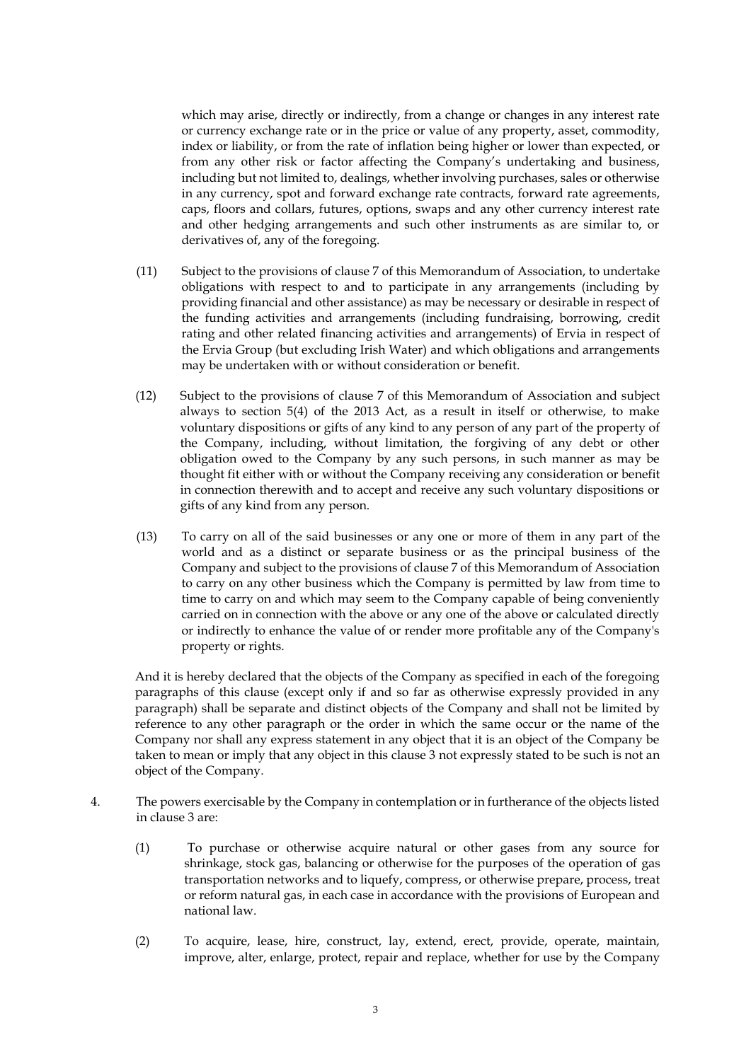which may arise, directly or indirectly, from a change or changes in any interest rate or currency exchange rate or in the price or value of any property, asset, commodity, index or liability, or from the rate of inflation being higher or lower than expected, or from any other risk or factor affecting the Company's undertaking and business, including but not limited to, dealings, whether involving purchases, sales or otherwise in any currency, spot and forward exchange rate contracts, forward rate agreements, caps, floors and collars, futures, options, swaps and any other currency interest rate and other hedging arrangements and such other instruments as are similar to, or derivatives of, any of the foregoing.

- <span id="page-3-0"></span>(11) Subject to the provisions of clause 7 of this Memorandum of Association, to undertake obligations with respect to and to participate in any arrangements (including by providing financial and other assistance) as may be necessary or desirable in respect of the funding activities and arrangements (including fundraising, borrowing, credit rating and other related financing activities and arrangements) of Ervia in respect of the Ervia Group (but excluding Irish Water) and which obligations and arrangements may be undertaken with or without consideration or benefit.
- <span id="page-3-2"></span>(12) Subject to the provisions of clause 7 of this Memorandum of Association and subject always to section 5(4) of the 2013 Act, as a result in itself or otherwise, to make voluntary dispositions or gifts of any kind to any person of any part of the property of the Company, including, without limitation, the forgiving of any debt or other obligation owed to the Company by any such persons, in such manner as may be thought fit either with or without the Company receiving any consideration or benefit in connection therewith and to accept and receive any such voluntary dispositions or gifts of any kind from any person.
- <span id="page-3-1"></span>(13) To carry on all of the said businesses or any one or more of them in any part of the world and as a distinct or separate business or as the principal business of the Company and subject to the provisions of clause 7 of this Memorandum of Association to carry on any other business which the Company is permitted by law from time to time to carry on and which may seem to the Company capable of being conveniently carried on in connection with the above or any one of the above or calculated directly or indirectly to enhance the value of or render more profitable any of the Company's property or rights.

And it is hereby declared that the objects of the Company as specified in each of the foregoing paragraphs of this clause (except only if and so far as otherwise expressly provided in any paragraph) shall be separate and distinct objects of the Company and shall not be limited by reference to any other paragraph or the order in which the same occur or the name of the Company nor shall any express statement in any object that it is an object of the Company be taken to mean or imply that any object in this clause 3 not expressly stated to be such is not an object of the Company.

- 4. The powers exercisable by the Company in contemplation or in furtherance of the objects listed in clause 3 are:
	- (1) To purchase or otherwise acquire natural or other gases from any source for shrinkage, stock gas, balancing or otherwise for the purposes of the operation of gas transportation networks and to liquefy, compress, or otherwise prepare, process, treat or reform natural gas, in each case in accordance with the provisions of European and national law.
	- (2) To acquire, lease, hire, construct, lay, extend, erect, provide, operate, maintain, improve, alter, enlarge, protect, repair and replace, whether for use by the Company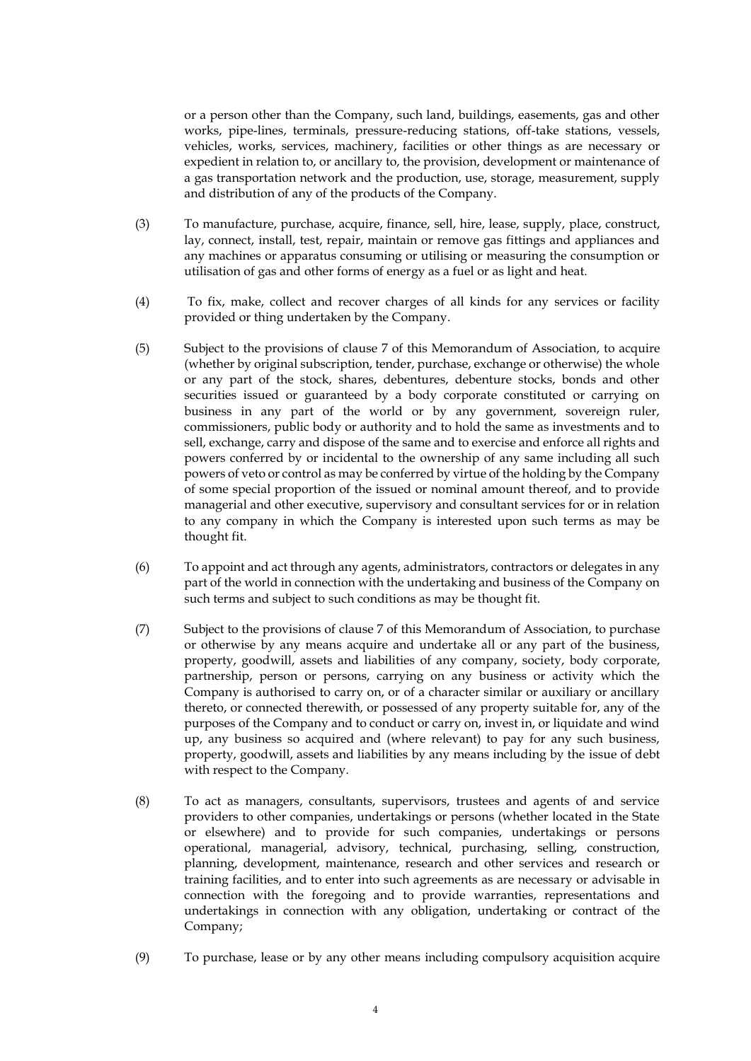or a person other than the Company, such land, buildings, easements, gas and other works, pipe-lines, terminals, pressure-reducing stations, off-take stations, vessels, vehicles, works, services, machinery, facilities or other things as are necessary or expedient in relation to, or ancillary to, the provision, development or maintenance of a gas transportation network and the production, use, storage, measurement, supply and distribution of any of the products of the Company.

- (3) To manufacture, purchase, acquire, finance, sell, hire, lease, supply, place, construct, lay, connect, install, test, repair, maintain or remove gas fittings and appliances and any machines or apparatus consuming or utilising or measuring the consumption or utilisation of gas and other forms of energy as a fuel or as light and heat.
- (4) To fix, make, collect and recover charges of all kinds for any services or facility provided or thing undertaken by the Company.
- <span id="page-4-0"></span>(5) Subject to the provisions of clause 7 of this Memorandum of Association, to acquire (whether by original subscription, tender, purchase, exchange or otherwise) the whole or any part of the stock, shares, debentures, debenture stocks, bonds and other securities issued or guaranteed by a body corporate constituted or carrying on business in any part of the world or by any government, sovereign ruler, commissioners, public body or authority and to hold the same as investments and to sell, exchange, carry and dispose of the same and to exercise and enforce all rights and powers conferred by or incidental to the ownership of any same including all such powers of veto or control as may be conferred by virtue of the holding by the Company of some special proportion of the issued or nominal amount thereof, and to provide managerial and other executive, supervisory and consultant services for or in relation to any company in which the Company is interested upon such terms as may be thought fit.
- (6) To appoint and act through any agents, administrators, contractors or delegates in any part of the world in connection with the undertaking and business of the Company on such terms and subject to such conditions as may be thought fit.
- <span id="page-4-1"></span>(7) Subject to the provisions of clause [7](#page-9-0) of this Memorandum of Association, to purchase or otherwise by any means acquire and undertake all or any part of the business, property, goodwill, assets and liabilities of any company, society, body corporate, partnership, person or persons, carrying on any business or activity which the Company is authorised to carry on, or of a character similar or auxiliary or ancillary thereto, or connected therewith, or possessed of any property suitable for, any of the purposes of the Company and to conduct or carry on, invest in, or liquidate and wind up, any business so acquired and (where relevant) to pay for any such business, property, goodwill, assets and liabilities by any means including by the issue of debt with respect to the Company.
- (8) To act as managers, consultants, supervisors, trustees and agents of and service providers to other companies, undertakings or persons (whether located in the State or elsewhere) and to provide for such companies, undertakings or persons operational, managerial, advisory, technical, purchasing, selling, construction, planning, development, maintenance, research and other services and research or training facilities, and to enter into such agreements as are necessary or advisable in connection with the foregoing and to provide warranties, representations and undertakings in connection with any obligation, undertaking or contract of the Company;
- (9) To purchase, lease or by any other means including compulsory acquisition acquire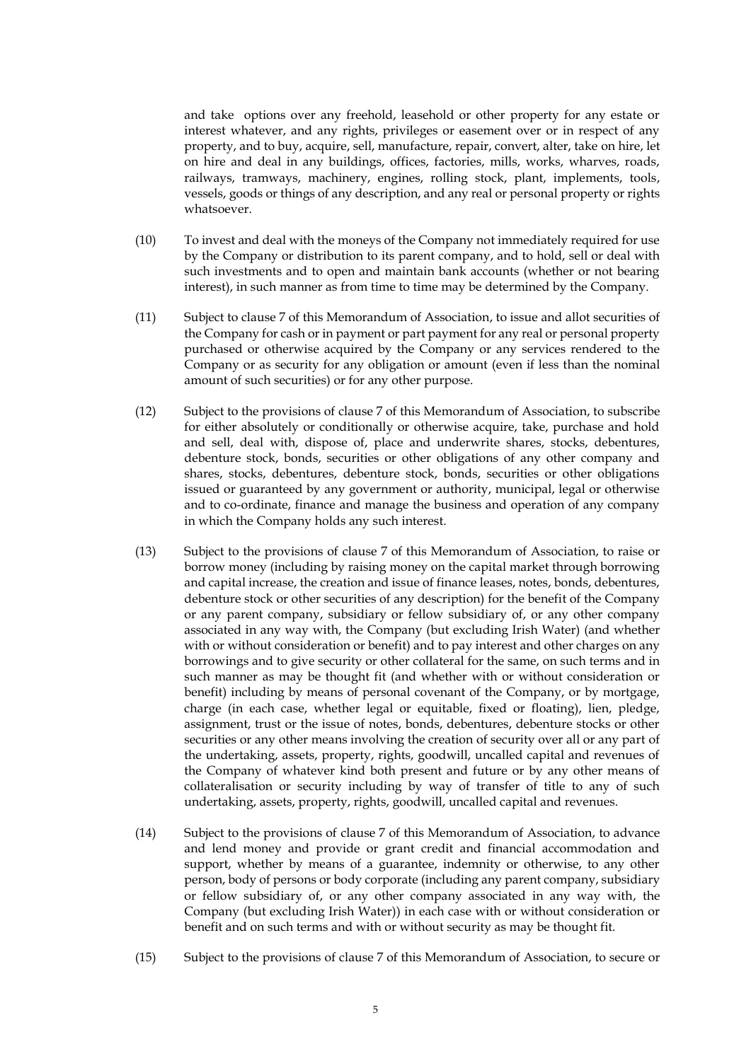and take options over any freehold, leasehold or other property for any estate or interest whatever, and any rights, privileges or easement over or in respect of any property, and to buy, acquire, sell, manufacture, repair, convert, alter, take on hire, let on hire and deal in any buildings, offices, factories, mills, works, wharves, roads, railways, tramways, machinery, engines, rolling stock, plant, implements, tools, vessels, goods or things of any description, and any real or personal property or rights whatsoever.

- (10) To invest and deal with the moneys of the Company not immediately required for use by the Company or distribution to its parent company, and to hold, sell or deal with such investments and to open and maintain bank accounts (whether or not bearing interest), in such manner as from time to time may be determined by the Company.
- <span id="page-5-0"></span>(11) Subject to clause 7 of this Memorandum of Association, to issue and allot securities of the Company for cash or in payment or part payment for any real or personal property purchased or otherwise acquired by the Company or any services rendered to the Company or as security for any obligation or amount (even if less than the nominal amount of such securities) or for any other purpose.
- <span id="page-5-1"></span>(12) Subject to the provisions of clause 7 of this Memorandum of Association, to subscribe for either absolutely or conditionally or otherwise acquire, take, purchase and hold and sell, deal with, dispose of, place and underwrite shares, stocks, debentures, debenture stock, bonds, securities or other obligations of any other company and shares, stocks, debentures, debenture stock, bonds, securities or other obligations issued or guaranteed by any government or authority, municipal, legal or otherwise and to co-ordinate, finance and manage the business and operation of any company in which the Company holds any such interest.
- <span id="page-5-2"></span>(13) Subject to the provisions of clause 7 of this Memorandum of Association, to raise or borrow money (including by raising money on the capital market through borrowing and capital increase, the creation and issue of finance leases, notes, bonds, debentures, debenture stock or other securities of any description) for the benefit of the Company or any parent company, subsidiary or fellow subsidiary of, or any other company associated in any way with, the Company (but excluding Irish Water) (and whether with or without consideration or benefit) and to pay interest and other charges on any borrowings and to give security or other collateral for the same, on such terms and in such manner as may be thought fit (and whether with or without consideration or benefit) including by means of personal covenant of the Company, or by mortgage, charge (in each case, whether legal or equitable, fixed or floating), lien, pledge, assignment, trust or the issue of notes, bonds, debentures, debenture stocks or other securities or any other means involving the creation of security over all or any part of the undertaking, assets, property, rights, goodwill, uncalled capital and revenues of the Company of whatever kind both present and future or by any other means of collateralisation or security including by way of transfer of title to any of such undertaking, assets, property, rights, goodwill, uncalled capital and revenues.
- <span id="page-5-3"></span>(14) Subject to the provisions of clause 7 of this Memorandum of Association, to advance and lend money and provide or grant credit and financial accommodation and support, whether by means of a guarantee, indemnity or otherwise, to any other person, body of persons or body corporate (including any parent company, subsidiary or fellow subsidiary of, or any other company associated in any way with, the Company (but excluding Irish Water)) in each case with or without consideration or benefit and on such terms and with or without security as may be thought fit.
- <span id="page-5-4"></span>(15) Subject to the provisions of clause 7 of this Memorandum of Association, to secure or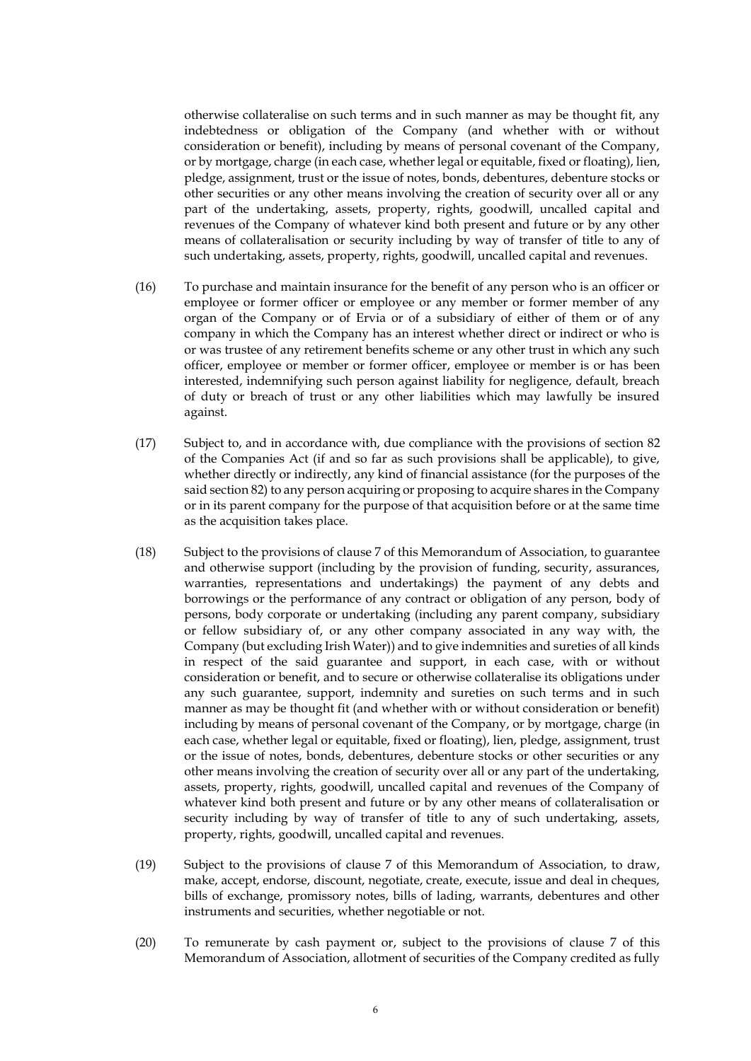otherwise collateralise on such terms and in such manner as may be thought fit, any indebtedness or obligation of the Company (and whether with or without consideration or benefit), including by means of personal covenant of the Company, or by mortgage, charge (in each case, whether legal or equitable, fixed or floating), lien, pledge, assignment, trust or the issue of notes, bonds, debentures, debenture stocks or other securities or any other means involving the creation of security over all or any part of the undertaking, assets, property, rights, goodwill, uncalled capital and revenues of the Company of whatever kind both present and future or by any other means of collateralisation or security including by way of transfer of title to any of such undertaking, assets, property, rights, goodwill, uncalled capital and revenues.

- (16) To purchase and maintain insurance for the benefit of any person who is an officer or employee or former officer or employee or any member or former member of any organ of the Company or of Ervia or of a subsidiary of either of them or of any company in which the Company has an interest whether direct or indirect or who is or was trustee of any retirement benefits scheme or any other trust in which any such officer, employee or member or former officer, employee or member is or has been interested, indemnifying such person against liability for negligence, default, breach of duty or breach of trust or any other liabilities which may lawfully be insured against.
- (17) Subject to, and in accordance with, due compliance with the provisions of section 82 of the Companies Act (if and so far as such provisions shall be applicable), to give, whether directly or indirectly, any kind of financial assistance (for the purposes of the said section 82) to any person acquiring or proposing to acquire shares in the Company or in its parent company for the purpose of that acquisition before or at the same time as the acquisition takes place.
- <span id="page-6-0"></span>(18) Subject to the provisions of clause 7 of this Memorandum of Association, to guarantee and otherwise support (including by the provision of funding, security, assurances, warranties, representations and undertakings) the payment of any debts and borrowings or the performance of any contract or obligation of any person, body of persons, body corporate or undertaking (including any parent company, subsidiary or fellow subsidiary of, or any other company associated in any way with, the Company (but excluding Irish Water)) and to give indemnities and sureties of all kinds in respect of the said guarantee and support, in each case, with or without consideration or benefit, and to secure or otherwise collateralise its obligations under any such guarantee, support, indemnity and sureties on such terms and in such manner as may be thought fit (and whether with or without consideration or benefit) including by means of personal covenant of the Company, or by mortgage, charge (in each case, whether legal or equitable, fixed or floating), lien, pledge, assignment, trust or the issue of notes, bonds, debentures, debenture stocks or other securities or any other means involving the creation of security over all or any part of the undertaking, assets, property, rights, goodwill, uncalled capital and revenues of the Company of whatever kind both present and future or by any other means of collateralisation or security including by way of transfer of title to any of such undertaking, assets, property, rights, goodwill, uncalled capital and revenues.
- <span id="page-6-2"></span>(19) Subject to the provisions of clause 7 of this Memorandum of Association, to draw, make, accept, endorse, discount, negotiate, create, execute, issue and deal in cheques, bills of exchange, promissory notes, bills of lading, warrants, debentures and other instruments and securities, whether negotiable or not.
- <span id="page-6-1"></span>(20) To remunerate by cash payment or, subject to the provisions of clause 7 of this Memorandum of Association, allotment of securities of the Company credited as fully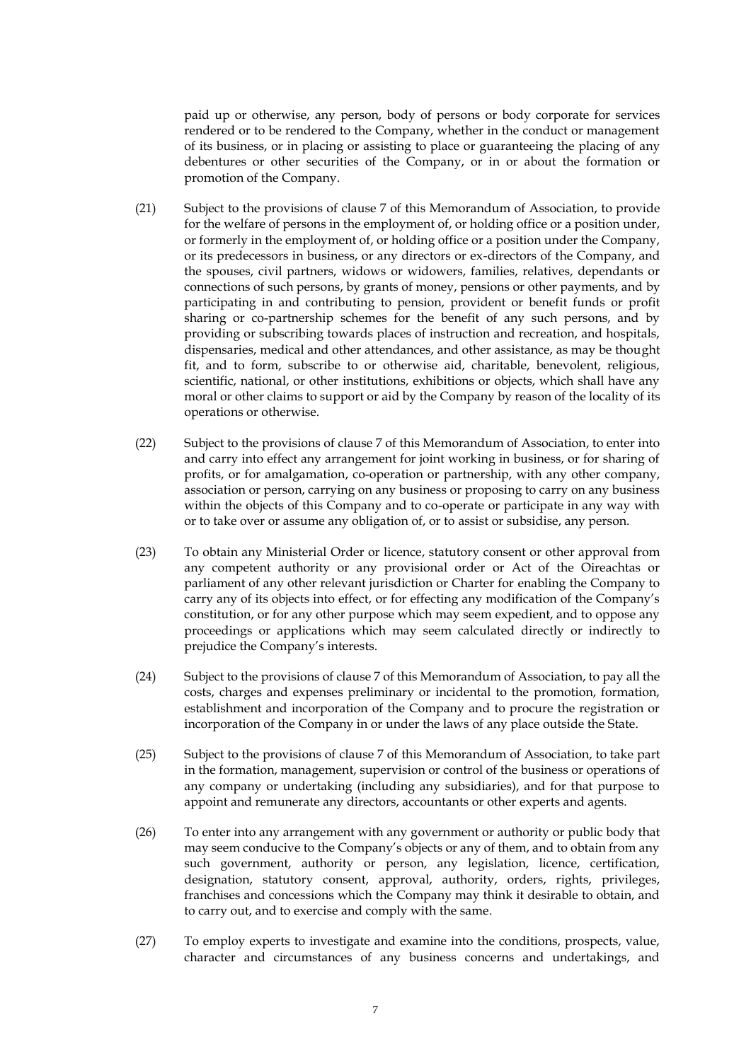paid up or otherwise, any person, body of persons or body corporate for services rendered or to be rendered to the Company, whether in the conduct or management of its business, or in placing or assisting to place or guaranteeing the placing of any debentures or other securities of the Company, or in or about the formation or promotion of the Company.

- <span id="page-7-2"></span>(21) Subject to the provisions of clause 7 of this Memorandum of Association, to provide for the welfare of persons in the employment of, or holding office or a position under, or formerly in the employment of, or holding office or a position under the Company, or its predecessors in business, or any directors or ex-directors of the Company, and the spouses, civil partners, widows or widowers, families, relatives, dependants or connections of such persons, by grants of money, pensions or other payments, and by participating in and contributing to pension, provident or benefit funds or profit sharing or co-partnership schemes for the benefit of any such persons, and by providing or subscribing towards places of instruction and recreation, and hospitals, dispensaries, medical and other attendances, and other assistance, as may be thought fit, and to form, subscribe to or otherwise aid, charitable, benevolent, religious, scientific, national, or other institutions, exhibitions or objects, which shall have any moral or other claims to support or aid by the Company by reason of the locality of its operations or otherwise.
- (22) Subject to the provisions of clause 7 of this Memorandum of Association, to enter into and carry into effect any arrangement for joint working in business, or for sharing of profits, or for amalgamation, co-operation or partnership, with any other company, association or person, carrying on any business or proposing to carry on any business within the objects of this Company and to co-operate or participate in any way with or to take over or assume any obligation of, or to assist or subsidise, any person.
- (23) To obtain any Ministerial Order or licence, statutory consent or other approval from any competent authority or any provisional order or Act of the Oireachtas or parliament of any other relevant jurisdiction or Charter for enabling the Company to carry any of its objects into effect, or for effecting any modification of the Company's constitution, or for any other purpose which may seem expedient, and to oppose any proceedings or applications which may seem calculated directly or indirectly to prejudice the Company's interests.
- <span id="page-7-0"></span>(24) Subject to the provisions of clause 7 of this Memorandum of Association, to pay all the costs, charges and expenses preliminary or incidental to the promotion, formation, establishment and incorporation of the Company and to procure the registration or incorporation of the Company in or under the laws of any place outside the State.
- <span id="page-7-1"></span>(25) Subject to the provisions of clause 7 of this Memorandum of Association, to take part in the formation, management, supervision or control of the business or operations of any company or undertaking (including any subsidiaries), and for that purpose to appoint and remunerate any directors, accountants or other experts and agents.
- (26) To enter into any arrangement with any government or authority or public body that may seem conducive to the Company's objects or any of them, and to obtain from any such government, authority or person, any legislation, licence, certification, designation, statutory consent, approval, authority, orders, rights, privileges, franchises and concessions which the Company may think it desirable to obtain, and to carry out, and to exercise and comply with the same.
- (27) To employ experts to investigate and examine into the conditions, prospects, value, character and circumstances of any business concerns and undertakings, and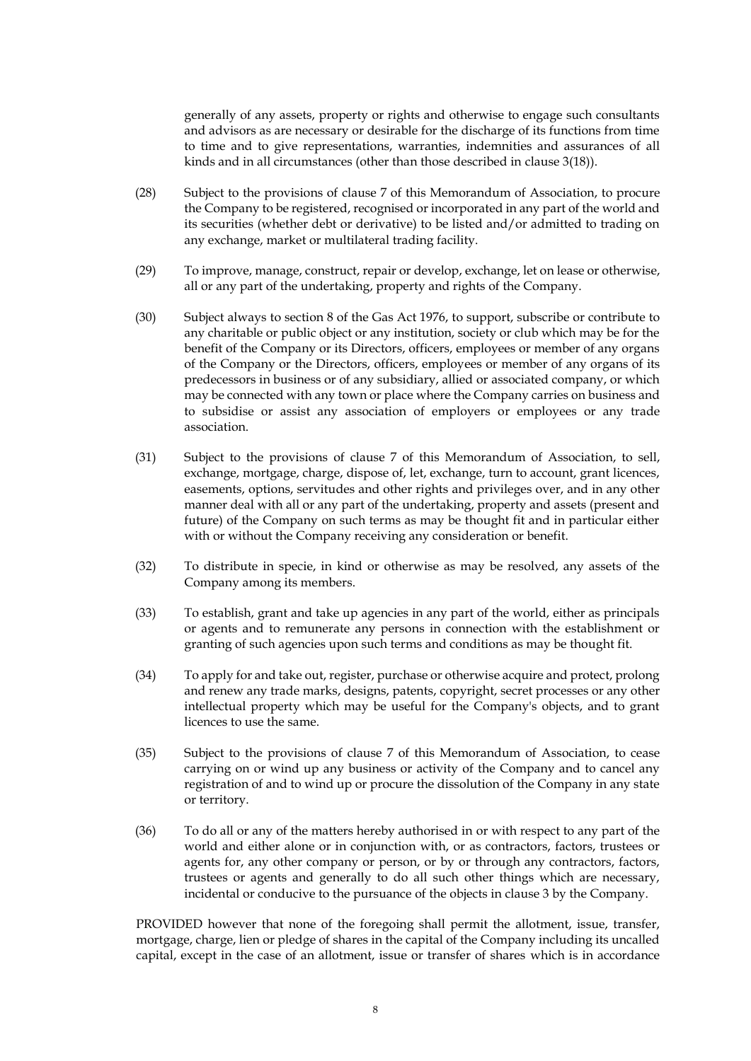generally of any assets, property or rights and otherwise to engage such consultants and advisors as are necessary or desirable for the discharge of its functions from time to time and to give representations, warranties, indemnities and assurances of all kinds and in all circumstances (other than those described in clause [3\(18\)\)](#page-6-0).

- <span id="page-8-1"></span>(28) Subject to the provisions of clause 7 of this Memorandum of Association, to procure the Company to be registered, recognised or incorporated in any part of the world and its securities (whether debt or derivative) to be listed and/or admitted to trading on any exchange, market or multilateral trading facility.
- (29) To improve, manage, construct, repair or develop, exchange, let on lease or otherwise, all or any part of the undertaking, property and rights of the Company.
- (30) Subject always to section 8 of the Gas Act 1976, to support, subscribe or contribute to any charitable or public object or any institution, society or club which may be for the benefit of the Company or its Directors, officers, employees or member of any organs of the Company or the Directors, officers, employees or member of any organs of its predecessors in business or of any subsidiary, allied or associated company, or which may be connected with any town or place where the Company carries on business and to subsidise or assist any association of employers or employees or any trade association.
- <span id="page-8-0"></span>(31) Subject to the provisions of clause 7 of this Memorandum of Association, to sell, exchange, mortgage, charge, dispose of, let, exchange, turn to account, grant licences, easements, options, servitudes and other rights and privileges over, and in any other manner deal with all or any part of the undertaking, property and assets (present and future) of the Company on such terms as may be thought fit and in particular either with or without the Company receiving any consideration or benefit.
- (32) To distribute in specie, in kind or otherwise as may be resolved, any assets of the Company among its members.
- (33) To establish, grant and take up agencies in any part of the world, either as principals or agents and to remunerate any persons in connection with the establishment or granting of such agencies upon such terms and conditions as may be thought fit.
- (34) To apply for and take out, register, purchase or otherwise acquire and protect, prolong and renew any trade marks, designs, patents, copyright, secret processes or any other intellectual property which may be useful for the Company's objects, and to grant licences to use the same.
- (35) Subject to the provisions of clause 7 of this Memorandum of Association, to cease carrying on or wind up any business or activity of the Company and to cancel any registration of and to wind up or procure the dissolution of the Company in any state or territory.
- (36) To do all or any of the matters hereby authorised in or with respect to any part of the world and either alone or in conjunction with, or as contractors, factors, trustees or agents for, any other company or person, or by or through any contractors, factors, trustees or agents and generally to do all such other things which are necessary, incidental or conducive to the pursuance of the objects in clause 3 by the Company.

PROVIDED however that none of the foregoing shall permit the allotment, issue, transfer, mortgage, charge, lien or pledge of shares in the capital of the Company including its uncalled capital, except in the case of an allotment, issue or transfer of shares which is in accordance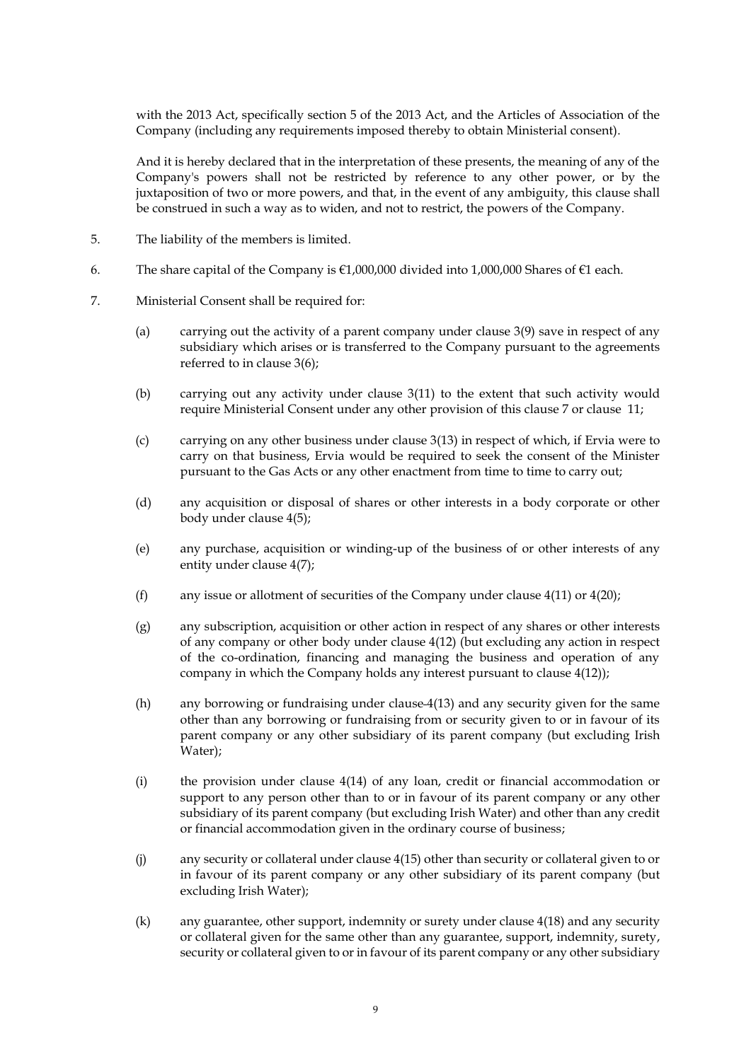with the 2013 Act, specifically section 5 of the 2013 Act, and the Articles of Association of the Company (including any requirements imposed thereby to obtain Ministerial consent).

And it is hereby declared that in the interpretation of these presents, the meaning of any of the Company's powers shall not be restricted by reference to any other power, or by the juxtaposition of two or more powers, and that, in the event of any ambiguity, this clause shall be construed in such a way as to widen, and not to restrict, the powers of the Company.

- 5. The liability of the members is limited.
- 6. The share capital of the Company is €1,000,000 divided into 1,000,000 Shares of €1 each.
- <span id="page-9-6"></span><span id="page-9-5"></span><span id="page-9-4"></span><span id="page-9-3"></span><span id="page-9-2"></span><span id="page-9-1"></span><span id="page-9-0"></span>7. Ministerial Consent shall be required for:
	- (a) carrying out the activity of a parent company under clause [3\(9\)](#page-2-0) save in respect of any subsidiary which arises or is transferred to the Company pursuant to the agreements referred to in clause [3\(6\);](#page-2-1)
	- (b) carrying out any activity under clause [3\(11\)](#page-3-0) to the extent that such activity would require Ministerial Consent under any other provision of this clause 7 or clause 11;
	- (c) carrying on any other business under clause [3\(13\)](#page-3-1) in respect of which, if Ervia were to carry on that business, Ervia would be required to seek the consent of the Minister pursuant to the Gas Acts or any other enactment from time to time to carry out;
	- (d) any acquisition or disposal of shares or other interests in a body corporate or other body under clause [4\(5\);](#page-4-0)
	- (e) any purchase, acquisition or winding-up of the business of or other interests of any entity under clause [4\(7\);](#page-4-1)
	- (f) any issue or allotment of securities of the Company under clause  $4(11)$  or  $4(20)$ ;
	- (g) any subscription, acquisition or other action in respect of any shares or other interests of any company or other body under clause [4\(12\)](#page-5-1) (but excluding any action in respect of the co-ordination, financing and managing the business and operation of any company in which the Company holds any interest pursuant to clause [4\(12\)\)](#page-5-1);
	- (h) any borrowing or fundraising under clause [4\(13\)](#page-5-2) and any security given for the same other than any borrowing or fundraising from or security given to or in favour of its parent company or any other subsidiary of its parent company (but excluding Irish Water);
	- (i) the provision under clause [4\(14\)](#page-5-3) of any loan, credit or financial accommodation or support to any person other than to or in favour of its parent company or any other subsidiary of its parent company (but excluding Irish Water) and other than any credit or financial accommodation given in the ordinary course of business;
	- (j) any security or collateral under clause [4\(15\)](#page-5-4) other than security or collateral given to or in favour of its parent company or any other subsidiary of its parent company (but excluding Irish Water);
	- (k) any guarantee, other support, indemnity or surety under clause [4\(18\)](#page-6-0) and any security or collateral given for the same other than any guarantee, support, indemnity, surety, security or collateral given to or in favour of its parent company or any other subsidiary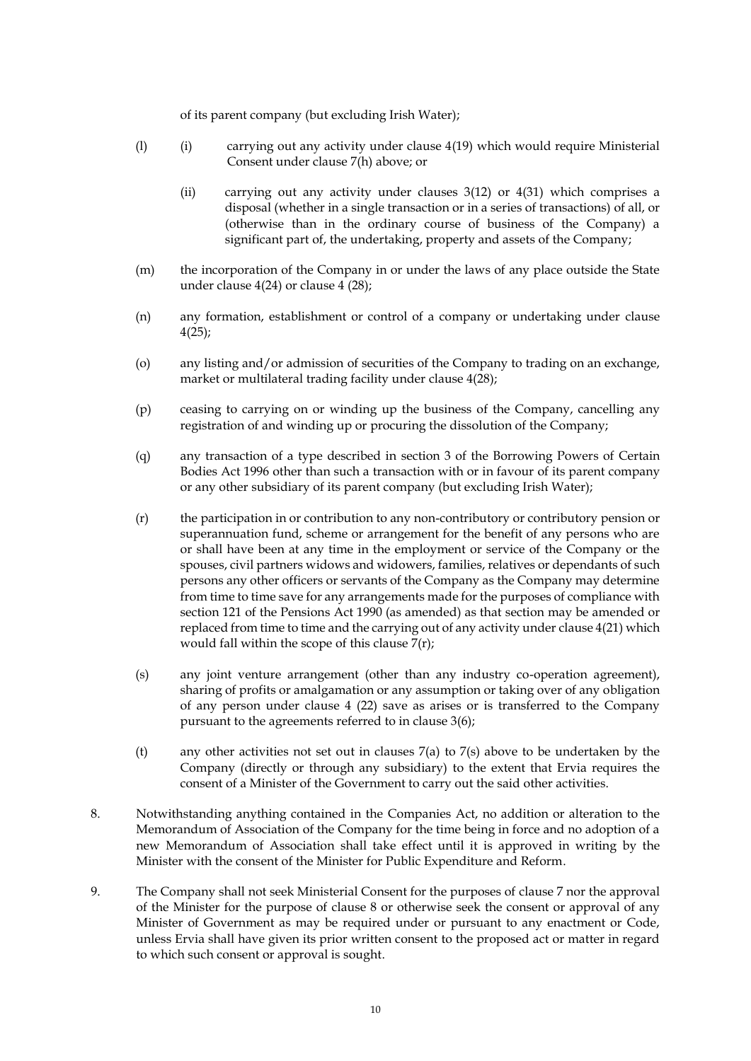of its parent company (but excluding Irish Water);

- (l) (i) carrying out any activity under clause [4\(19\)](#page-6-2) which would require Ministerial Consent under clause [7\(h\)](#page-9-1) above; or
	- (ii) carrying out any activity under clauses [3\(12\)](#page-3-2) or [4\(31\)](#page-8-0) which comprises a disposal (whether in a single transaction or in a series of transactions) of all, or (otherwise than in the ordinary course of business of the Company) a significant part of, the undertaking, property and assets of the Company;
- (m) the incorporation of the Company in or under the laws of any place outside the State under clause [4\(24\)](#page-7-0) or clause 4 (28);
- <span id="page-10-1"></span>(n) any formation, establishment or control of a company or undertaking under clause [4\(25\);](#page-7-1)
- (o) any listing and/or admission of securities of the Company to trading on an exchange, market or multilateral trading facility under clause [4\(28\);](#page-8-1)
- (p) ceasing to carrying on or winding up the business of the Company, cancelling any registration of and winding up or procuring the dissolution of the Company;
- (q) any transaction of a type described in section 3 of the Borrowing Powers of Certain Bodies Act 1996 other than such a transaction with or in favour of its parent company or any other subsidiary of its parent company (but excluding Irish Water);
- <span id="page-10-0"></span>(r) the participation in or contribution to any non-contributory or contributory pension or superannuation fund, scheme or arrangement for the benefit of any persons who are or shall have been at any time in the employment or service of the Company or the spouses, civil partners widows and widowers, families, relatives or dependants of such persons any other officers or servants of the Company as the Company may determine from time to time save for any arrangements made for the purposes of compliance with section 121 of the Pensions Act 1990 (as amended) as that section may be amended or replaced from time to time and the carrying out of any activity under clause [4\(21\)](#page-7-2) which would fall within the scope of this clause [7\(r\);](#page-10-0)
- (s) any joint venture arrangement (other than any industry co-operation agreement), sharing of profits or amalgamation or any assumption or taking over of any obligation of any person under clause 4 (22) save as arises or is transferred to the Company pursuant to the agreements referred to in clause 3(6);
- (t) any other activities not set out in clauses  $7(a)$  to  $7(s)$  above to be undertaken by the Company (directly or through any subsidiary) to the extent that Ervia requires the consent of a Minister of the Government to carry out the said other activities.
- 8. Notwithstanding anything contained in the Companies Act, no addition or alteration to the Memorandum of Association of the Company for the time being in force and no adoption of a new Memorandum of Association shall take effect until it is approved in writing by the Minister with the consent of the Minister for Public Expenditure and Reform.
- 9. The Company shall not seek Ministerial Consent for the purposes of clause 7 nor the approval of the Minister for the purpose of clause 8 or otherwise seek the consent or approval of any Minister of Government as may be required under or pursuant to any enactment or Code, unless Ervia shall have given its prior written consent to the proposed act or matter in regard to which such consent or approval is sought.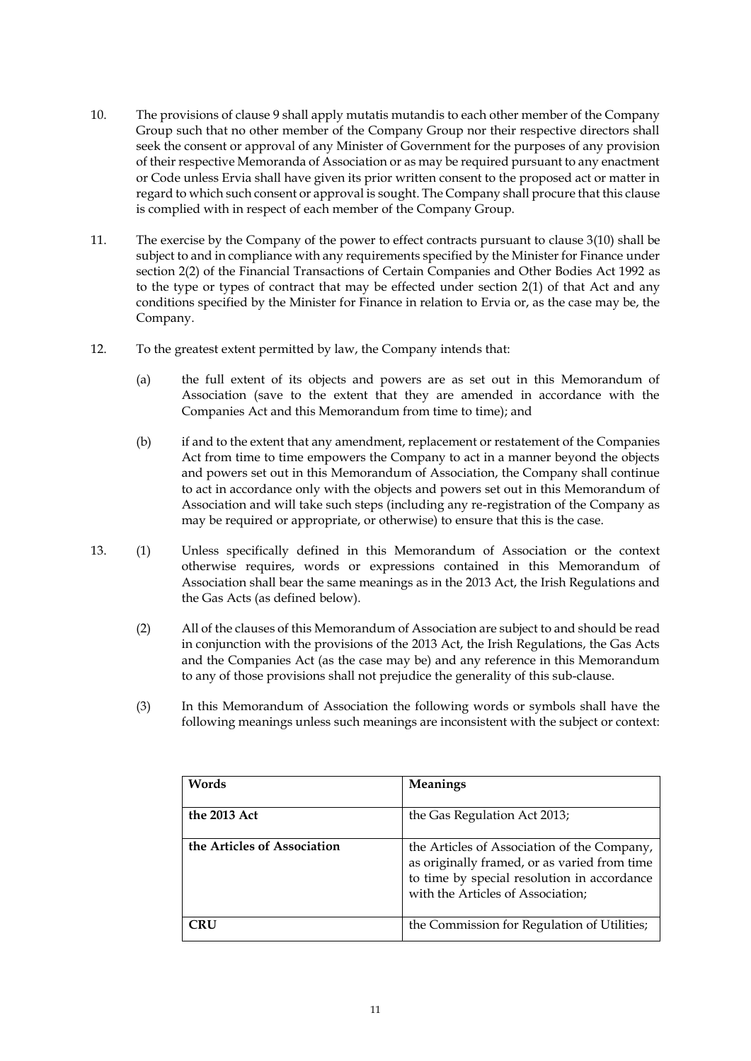- 10. The provisions of clause 9 shall apply mutatis mutandis to each other member of the Company Group such that no other member of the Company Group nor their respective directors shall seek the consent or approval of any Minister of Government for the purposes of any provision of their respective Memoranda of Association or as may be required pursuant to any enactment or Code unless Ervia shall have given its prior written consent to the proposed act or matter in regard to which such consent or approval is sought. The Company shall procure that this clause is complied with in respect of each member of the Company Group.
- 11. The exercise by the Company of the power to effect contracts pursuant to clause [3\(10\)](#page-2-2) shall be subject to and in compliance with any requirements specified by the Minister for Finance under section 2(2) of the Financial Transactions of Certain Companies and Other Bodies Act 1992 as to the type or types of contract that may be effected under section 2(1) of that Act and any conditions specified by the Minister for Finance in relation to Ervia or, as the case may be, the Company.
- 12. To the greatest extent permitted by law, the Company intends that:
	- (a) the full extent of its objects and powers are as set out in this Memorandum of Association (save to the extent that they are amended in accordance with the Companies Act and this Memorandum from time to time); and
	- (b) if and to the extent that any amendment, replacement or restatement of the Companies Act from time to time empowers the Company to act in a manner beyond the objects and powers set out in this Memorandum of Association, the Company shall continue to act in accordance only with the objects and powers set out in this Memorandum of Association and will take such steps (including any re-registration of the Company as may be required or appropriate, or otherwise) to ensure that this is the case.
- 13. (1) Unless specifically defined in this Memorandum of Association or the context otherwise requires, words or expressions contained in this Memorandum of Association shall bear the same meanings as in the 2013 Act, the Irish Regulations and the Gas Acts (as defined below).
	- (2) All of the clauses of this Memorandum of Association are subject to and should be read in conjunction with the provisions of the 2013 Act, the Irish Regulations, the Gas Acts and the Companies Act (as the case may be) and any reference in this Memorandum to any of those provisions shall not prejudice the generality of this sub-clause.
	- (3) In this Memorandum of Association the following words or symbols shall have the following meanings unless such meanings are inconsistent with the subject or context:

| Words                       | Meanings                                                                                                                                                                        |
|-----------------------------|---------------------------------------------------------------------------------------------------------------------------------------------------------------------------------|
| the 2013 Act                | the Gas Regulation Act 2013;                                                                                                                                                    |
| the Articles of Association | the Articles of Association of the Company,<br>as originally framed, or as varied from time<br>to time by special resolution in accordance<br>with the Articles of Association; |
| CRU                         | the Commission for Regulation of Utilities;                                                                                                                                     |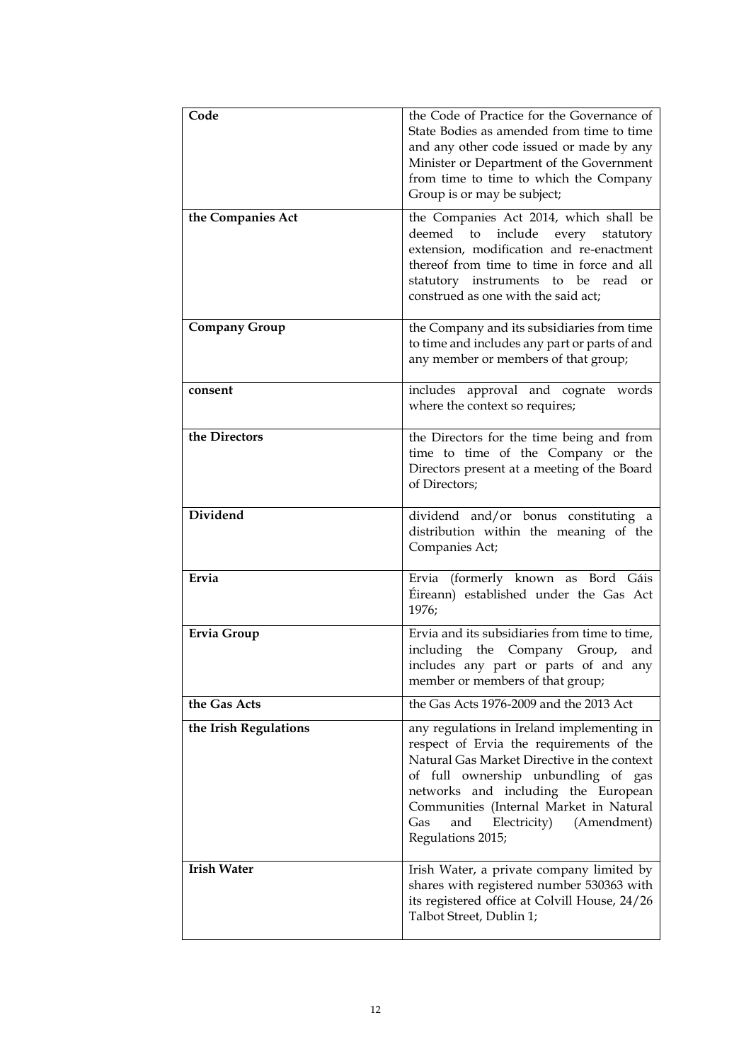| Code                  | the Code of Practice for the Governance of<br>State Bodies as amended from time to time<br>and any other code issued or made by any<br>Minister or Department of the Government<br>from time to time to which the Company<br>Group is or may be subject;                                                                         |
|-----------------------|----------------------------------------------------------------------------------------------------------------------------------------------------------------------------------------------------------------------------------------------------------------------------------------------------------------------------------|
| the Companies Act     | the Companies Act 2014, which shall be<br>deemed to<br>include<br>every<br>statutory<br>extension, modification and re-enactment<br>thereof from time to time in force and all<br>statutory instruments to be read<br>or<br>construed as one with the said act;                                                                  |
| <b>Company Group</b>  | the Company and its subsidiaries from time<br>to time and includes any part or parts of and<br>any member or members of that group;                                                                                                                                                                                              |
| consent               | includes approval and cognate words<br>where the context so requires;                                                                                                                                                                                                                                                            |
| the Directors         | the Directors for the time being and from<br>time to time of the Company or the<br>Directors present at a meeting of the Board<br>of Directors;                                                                                                                                                                                  |
| <b>Dividend</b>       | dividend and/or bonus constituting a<br>distribution within the meaning of the<br>Companies Act;                                                                                                                                                                                                                                 |
| Ervia                 | Ervia (formerly known as Bord Gáis<br>Éireann) established under the Gas Act<br>1976;                                                                                                                                                                                                                                            |
| <b>Ervia Group</b>    | Ervia and its subsidiaries from time to time,<br>the Company<br>including<br>Group,<br>and<br>includes any part or parts of and any<br>member or members of that group;                                                                                                                                                          |
| the Gas Acts          | the Gas Acts 1976-2009 and the 2013 Act                                                                                                                                                                                                                                                                                          |
| the Irish Regulations | any regulations in Ireland implementing in<br>respect of Ervia the requirements of the<br>Natural Gas Market Directive in the context<br>of full ownership unbundling of gas<br>networks and including the European<br>Communities (Internal Market in Natural<br>Gas<br>and<br>Electricity)<br>(Amendment)<br>Regulations 2015; |
| <b>Irish Water</b>    | Irish Water, a private company limited by<br>shares with registered number 530363 with<br>its registered office at Colvill House, 24/26<br>Talbot Street, Dublin 1;                                                                                                                                                              |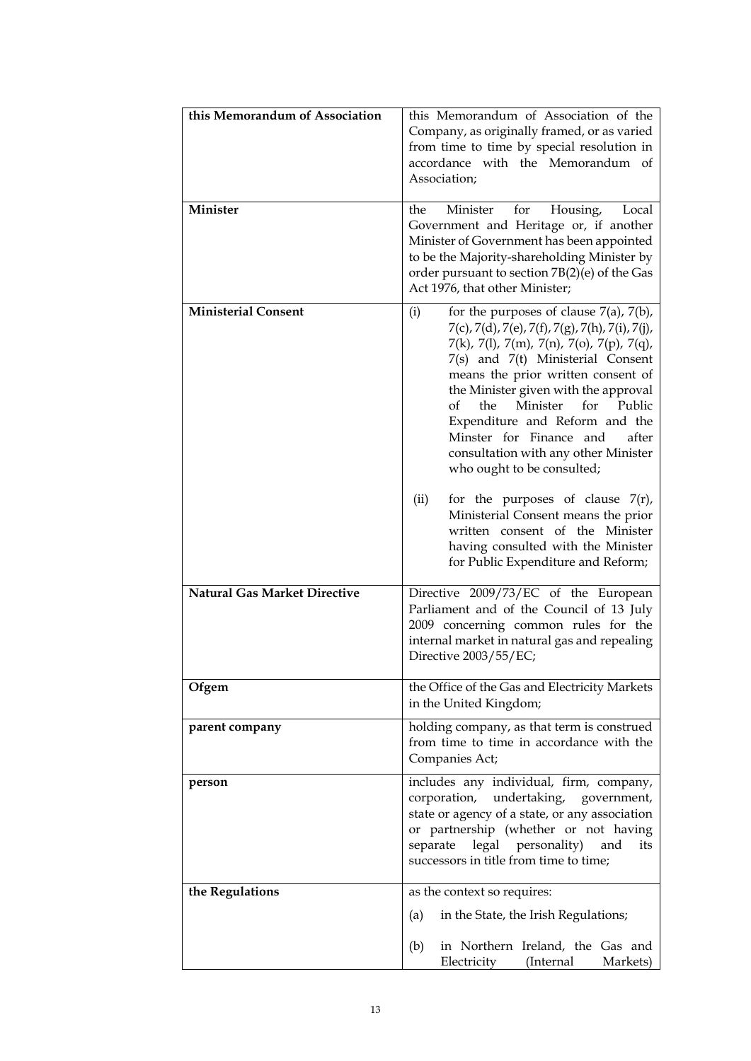| this Memorandum of Association                                    | this Memorandum of Association of the<br>Company, as originally framed, or as varied<br>from time to time by special resolution in<br>accordance with the Memorandum of<br>Association;                                                                                                                                                                                                                                                                                                                                                                                                                                                                                                                                                                                                |
|-------------------------------------------------------------------|----------------------------------------------------------------------------------------------------------------------------------------------------------------------------------------------------------------------------------------------------------------------------------------------------------------------------------------------------------------------------------------------------------------------------------------------------------------------------------------------------------------------------------------------------------------------------------------------------------------------------------------------------------------------------------------------------------------------------------------------------------------------------------------|
| Minister                                                          | Minister<br>for<br>the<br>Housing,<br>Local<br>Government and Heritage or, if another<br>Minister of Government has been appointed<br>to be the Majority-shareholding Minister by<br>order pursuant to section 7B(2)(e) of the Gas<br>Act 1976, that other Minister;                                                                                                                                                                                                                                                                                                                                                                                                                                                                                                                   |
| <b>Ministerial Consent</b><br><b>Natural Gas Market Directive</b> | for the purposes of clause $7(a)$ , $7(b)$ ,<br>(i)<br>$7(c)$ , $7(d)$ , $7(e)$ , $7(f)$ , $7(g)$ , $7(h)$ , $7(i)$ , $7(j)$ ,<br>$7(k)$ , 7(1), 7(m), 7(n), 7(o), 7(p), 7(q),<br>7(s) and 7(t) Ministerial Consent<br>means the prior written consent of<br>the Minister given with the approval<br>$\alpha$<br>Minister<br>for<br>Public<br>the<br>Expenditure and Reform and the<br>Minster for Finance and<br>after<br>consultation with any other Minister<br>who ought to be consulted;<br>for the purposes of clause $7(r)$ ,<br>(ii)<br>Ministerial Consent means the prior<br>written consent of the Minister<br>having consulted with the Minister<br>for Public Expenditure and Reform;<br>Directive 2009/73/EC of the European<br>Parliament and of the Council of 13 July |
|                                                                   | 2009 concerning common rules for the<br>internal market in natural gas and repealing<br>Directive 2003/55/EC;                                                                                                                                                                                                                                                                                                                                                                                                                                                                                                                                                                                                                                                                          |
| Ofgem                                                             | the Office of the Gas and Electricity Markets<br>in the United Kingdom;                                                                                                                                                                                                                                                                                                                                                                                                                                                                                                                                                                                                                                                                                                                |
| parent company                                                    | holding company, as that term is construed<br>from time to time in accordance with the<br>Companies Act;                                                                                                                                                                                                                                                                                                                                                                                                                                                                                                                                                                                                                                                                               |
| person                                                            | includes any individual, firm, company,<br>corporation, undertaking, government,<br>state or agency of a state, or any association<br>or partnership (whether or not having<br>legal personality)<br>separate<br>and<br>its<br>successors in title from time to time;                                                                                                                                                                                                                                                                                                                                                                                                                                                                                                                  |
| the Regulations                                                   | as the context so requires:                                                                                                                                                                                                                                                                                                                                                                                                                                                                                                                                                                                                                                                                                                                                                            |
|                                                                   | in the State, the Irish Regulations;<br>(a)<br>in Northern Ireland, the Gas and<br>(b)<br>Electricity<br>(Internal<br>Markets)                                                                                                                                                                                                                                                                                                                                                                                                                                                                                                                                                                                                                                                         |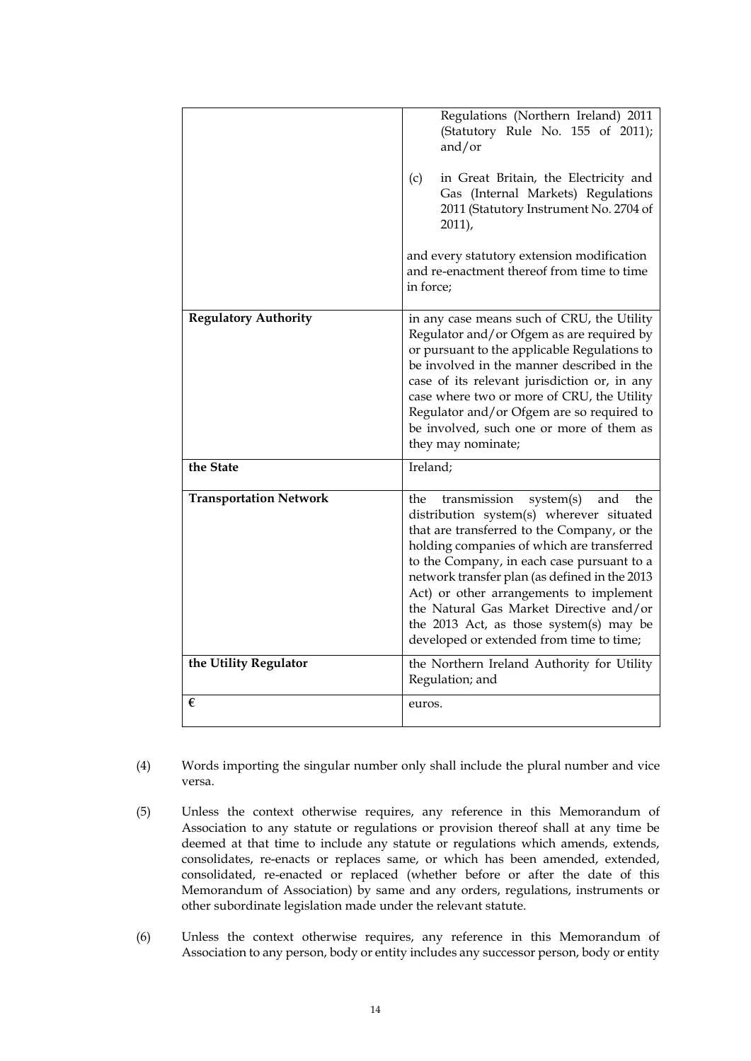|                               | Regulations (Northern Ireland) 2011<br>(Statutory Rule No. 155 of 2011);<br>and/or<br>in Great Britain, the Electricity and<br>(c)<br>Gas (Internal Markets) Regulations<br>2011 (Statutory Instrument No. 2704 of<br>2011,<br>and every statutory extension modification<br>and re-enactment thereof from time to time<br>in force:                                                                                                                                |
|-------------------------------|---------------------------------------------------------------------------------------------------------------------------------------------------------------------------------------------------------------------------------------------------------------------------------------------------------------------------------------------------------------------------------------------------------------------------------------------------------------------|
| <b>Regulatory Authority</b>   | in any case means such of CRU, the Utility<br>Regulator and/or Ofgem as are required by<br>or pursuant to the applicable Regulations to<br>be involved in the manner described in the<br>case of its relevant jurisdiction or, in any<br>case where two or more of CRU, the Utility<br>Regulator and/or Ofgem are so required to<br>be involved, such one or more of them as<br>they may nominate;                                                                  |
| the State                     | Ireland;                                                                                                                                                                                                                                                                                                                                                                                                                                                            |
| <b>Transportation Network</b> | transmission<br>system(s)<br>and<br>the<br>the<br>distribution system(s) wherever situated<br>that are transferred to the Company, or the<br>holding companies of which are transferred<br>to the Company, in each case pursuant to a<br>network transfer plan (as defined in the 2013<br>Act) or other arrangements to implement<br>the Natural Gas Market Directive and/or<br>the 2013 Act, as those system(s) may be<br>developed or extended from time to time; |
| the Utility Regulator         | the Northern Ireland Authority for Utility<br>Regulation; and                                                                                                                                                                                                                                                                                                                                                                                                       |
| €                             | euros.                                                                                                                                                                                                                                                                                                                                                                                                                                                              |

- (4) Words importing the singular number only shall include the plural number and vice versa.
- (5) Unless the context otherwise requires, any reference in this Memorandum of Association to any statute or regulations or provision thereof shall at any time be deemed at that time to include any statute or regulations which amends, extends, consolidates, re-enacts or replaces same, or which has been amended, extended, consolidated, re-enacted or replaced (whether before or after the date of this Memorandum of Association) by same and any orders, regulations, instruments or other subordinate legislation made under the relevant statute.
- (6) Unless the context otherwise requires, any reference in this Memorandum of Association to any person, body or entity includes any successor person, body or entity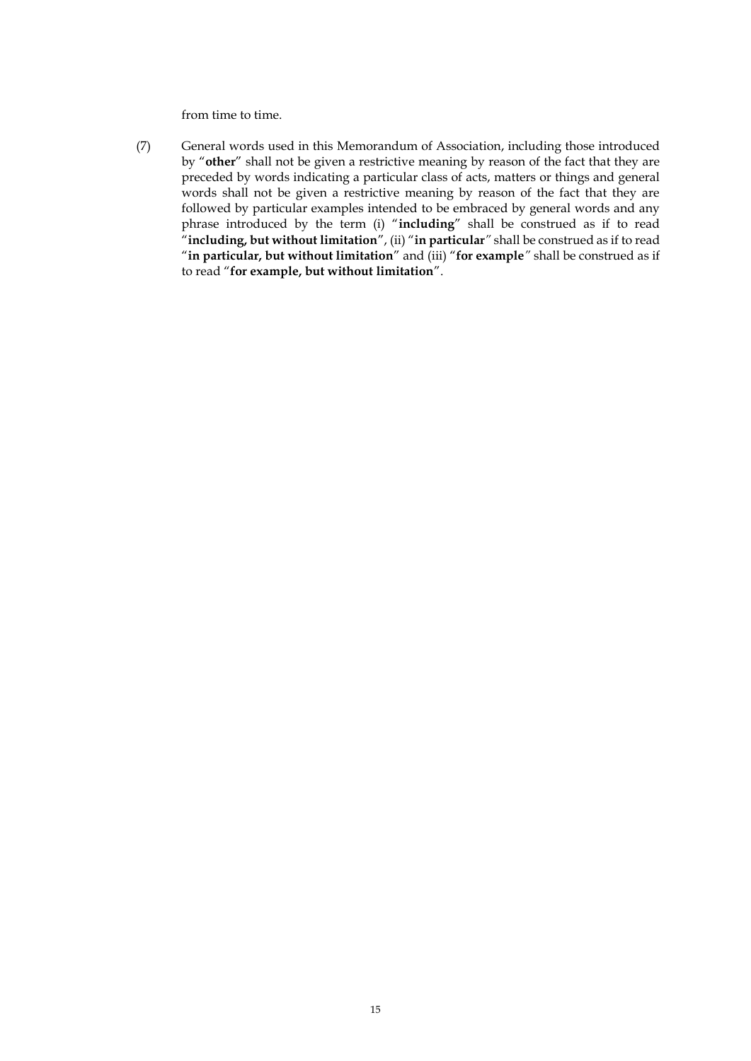from time to time.

(7) General words used in this Memorandum of Association, including those introduced by "**other**" shall not be given a restrictive meaning by reason of the fact that they are preceded by words indicating a particular class of acts, matters or things and general words shall not be given a restrictive meaning by reason of the fact that they are followed by particular examples intended to be embraced by general words and any phrase introduced by the term (i) "**including**" shall be construed as if to read "**including, but without limitation**", (ii) "**in particular***"* shall be construed as if to read "**in particular, but without limitation**" and (iii) "**for example***"* shall be construed as if to read "**for example, but without limitation**".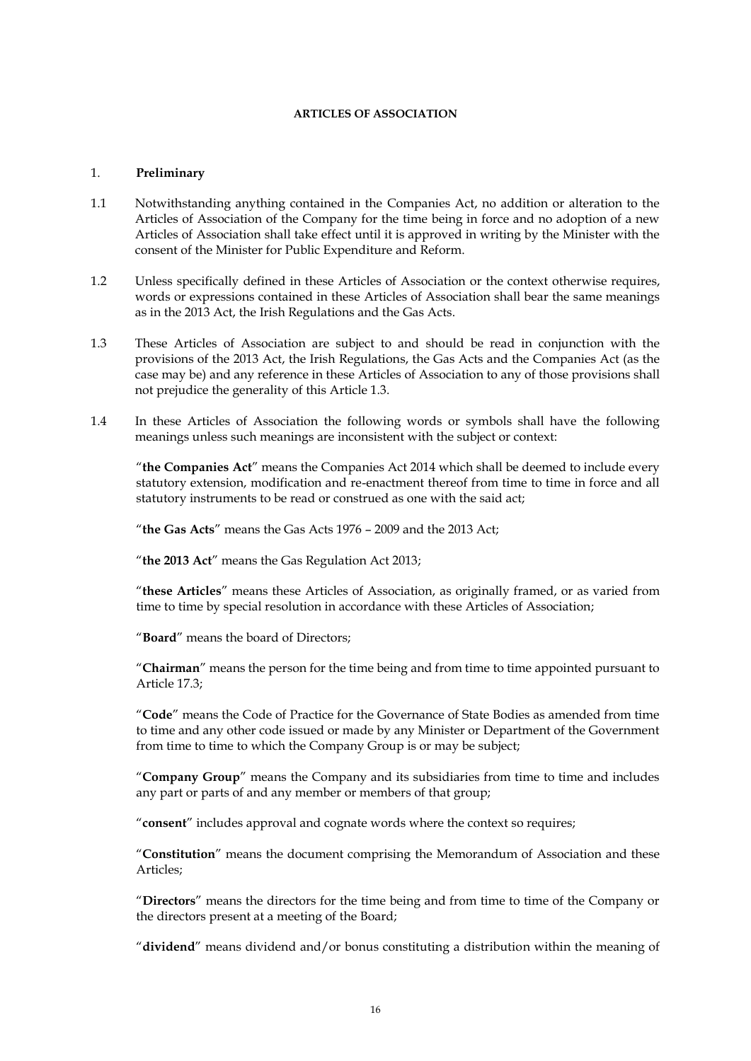### **ARTICLES OF ASSOCIATION**

### 1. **Preliminary**

- 1.1 Notwithstanding anything contained in the Companies Act, no addition or alteration to the Articles of Association of the Company for the time being in force and no adoption of a new Articles of Association shall take effect until it is approved in writing by the Minister with the consent of the Minister for Public Expenditure and Reform.
- 1.2 Unless specifically defined in these Articles of Association or the context otherwise requires, words or expressions contained in these Articles of Association shall bear the same meanings as in the 2013 Act, the Irish Regulations and the Gas Acts.
- 1.3 These Articles of Association are subject to and should be read in conjunction with the provisions of the 2013 Act, the Irish Regulations, the Gas Acts and the Companies Act (as the case may be) and any reference in these Articles of Association to any of those provisions shall not prejudice the generality of this Article 1.3.
- 1.4 In these Articles of Association the following words or symbols shall have the following meanings unless such meanings are inconsistent with the subject or context:

"**the Companies Act**" means the Companies Act 2014 which shall be deemed to include every statutory extension, modification and re-enactment thereof from time to time in force and all statutory instruments to be read or construed as one with the said act;

"**the Gas Acts**" means the Gas Acts 1976 – 2009 and the 2013 Act;

"**the 2013 Act**" means the Gas Regulation Act 2013;

"**these Articles**" means these Articles of Association, as originally framed, or as varied from time to time by special resolution in accordance with these Articles of Association;

"**Board**" means the board of Directors;

"**Chairman**" means the person for the time being and from time to time appointed pursuant to Article [17.3;](#page-30-0)

"**Code**" means the Code of Practice for the Governance of State Bodies as amended from time to time and any other code issued or made by any Minister or Department of the Government from time to time to which the Company Group is or may be subject;

"**Company Group**" means the Company and its subsidiaries from time to time and includes any part or parts of and any member or members of that group;

"**consent**" includes approval and cognate words where the context so requires;

"**Constitution**" means the document comprising the Memorandum of Association and these Articles;

"**Directors**" means the directors for the time being and from time to time of the Company or the directors present at a meeting of the Board;

"**dividend**" means dividend and/or bonus constituting a distribution within the meaning of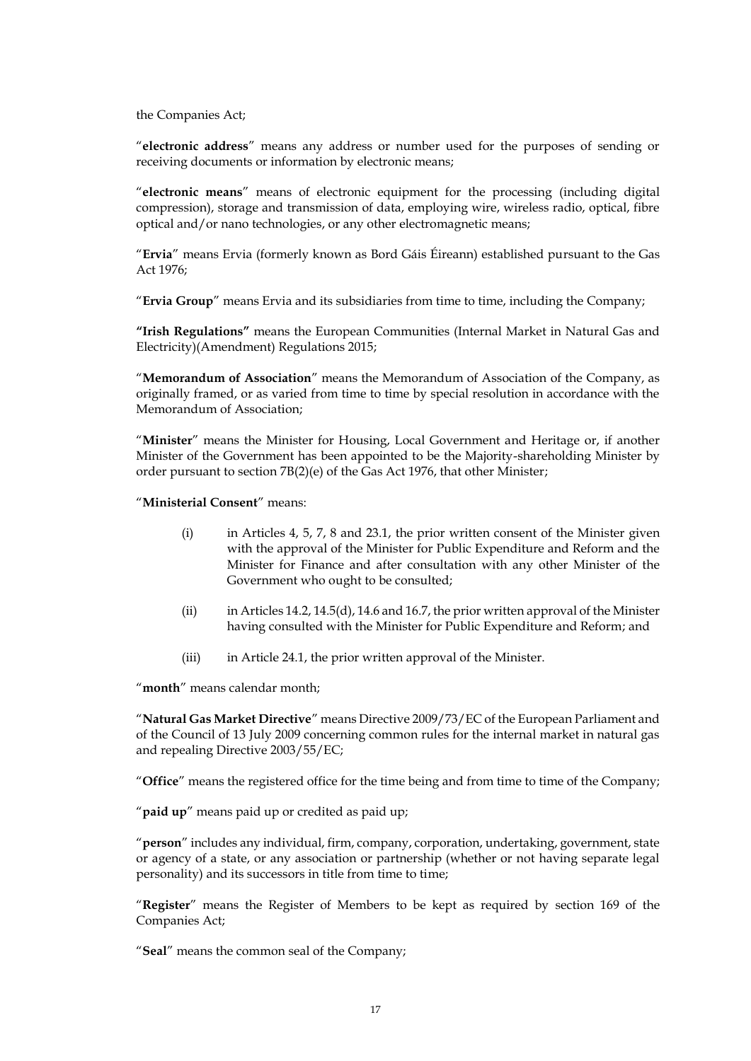the Companies Act;

"**electronic address**" means any address or number used for the purposes of sending or receiving documents or information by electronic means;

"**electronic means**" means of electronic equipment for the processing (including digital compression), storage and transmission of data, employing wire, wireless radio, optical, fibre optical and/or nano technologies, or any other electromagnetic means;

"**Ervia**" means Ervia (formerly known as Bord Gáis Éireann) established pursuant to the Gas Act 1976;

"**Ervia Group**" means Ervia and its subsidiaries from time to time, including the Company;

**"Irish Regulations"** means the European Communities (Internal Market in Natural Gas and Electricity)(Amendment) Regulations 2015;

"**Memorandum of Association**" means the Memorandum of Association of the Company, as originally framed, or as varied from time to time by special resolution in accordance with the Memorandum of Association;

"**Minister**" means the Minister for Housing, Local Government and Heritage or, if another Minister of the Government has been appointed to be the Majority-shareholding Minister by order pursuant to section 7B(2)(e) of the Gas Act 1976, that other Minister;

"**Ministerial Consent**" means:

- (i) in Articles 4, [5,](#page-21-0) [7,](#page-22-0) [8](#page-22-1) and 23.1, the prior written consent of the Minister given with the approval of the Minister for Public Expenditure and Reform and the Minister for Finance and after consultation with any other Minister of the Government who ought to be consulted;
- (ii) in Articles 14.2, 14.5(d), 14.6 and 16.7, the prior written approval of the Minister having consulted with the Minister for Public Expenditure and Reform; and
- (iii) in Article 24.1, the prior written approval of the Minister.

"**month**" means calendar month;

"**Natural Gas Market Directive**" means Directive 2009/73/EC of the European Parliament and of the Council of 13 July 2009 concerning common rules for the internal market in natural gas and repealing Directive 2003/55/EC;

"**Office**" means the registered office for the time being and from time to time of the Company;

"**paid up**" means paid up or credited as paid up;

"**person**" includes any individual, firm, company, corporation, undertaking, government, state or agency of a state, or any association or partnership (whether or not having separate legal personality) and its successors in title from time to time;

"**Register**" means the Register of Members to be kept as required by section 169 of the Companies Act;

"**Seal**" means the common seal of the Company;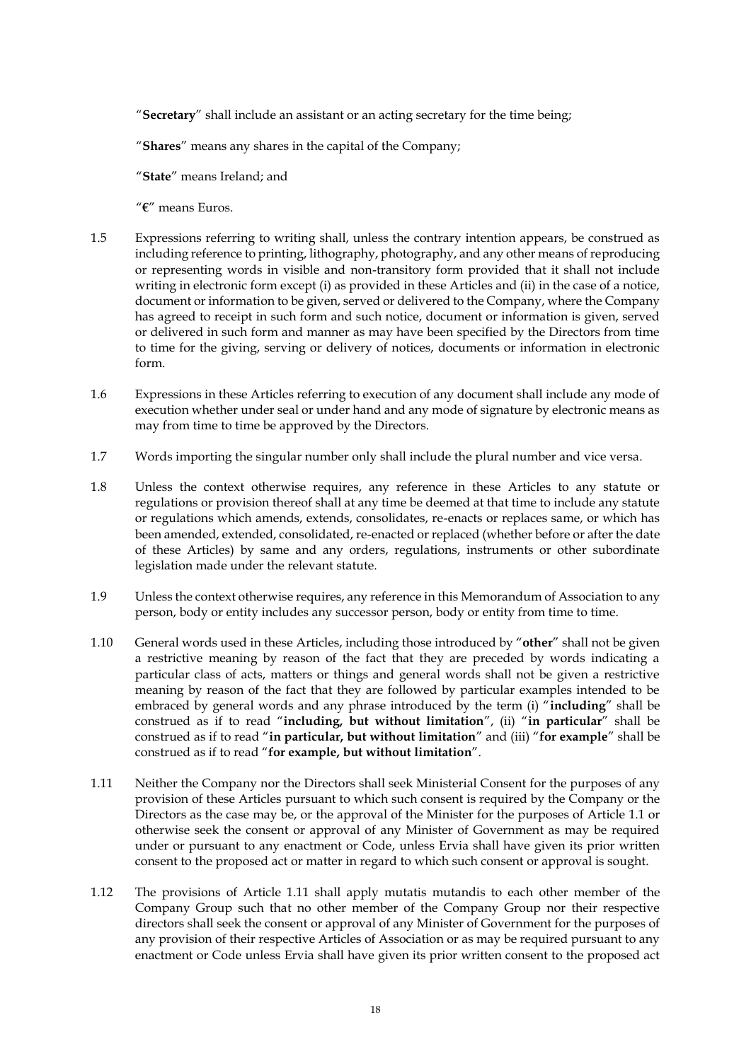"**Secretary**" shall include an assistant or an acting secretary for the time being;

"**Shares**" means any shares in the capital of the Company;

"**State**" means Ireland; and

"**€**" means Euros.

- 1.5 Expressions referring to writing shall, unless the contrary intention appears, be construed as including reference to printing, lithography, photography, and any other means of reproducing or representing words in visible and non-transitory form provided that it shall not include writing in electronic form except (i) as provided in these Articles and (ii) in the case of a notice, document or information to be given, served or delivered to the Company, where the Company has agreed to receipt in such form and such notice, document or information is given, served or delivered in such form and manner as may have been specified by the Directors from time to time for the giving, serving or delivery of notices, documents or information in electronic form.
- 1.6 Expressions in these Articles referring to execution of any document shall include any mode of execution whether under seal or under hand and any mode of signature by electronic means as may from time to time be approved by the Directors.
- 1.7 Words importing the singular number only shall include the plural number and vice versa.
- 1.8 Unless the context otherwise requires, any reference in these Articles to any statute or regulations or provision thereof shall at any time be deemed at that time to include any statute or regulations which amends, extends, consolidates, re-enacts or replaces same, or which has been amended, extended, consolidated, re-enacted or replaced (whether before or after the date of these Articles) by same and any orders, regulations, instruments or other subordinate legislation made under the relevant statute.
- 1.9 Unless the context otherwise requires, any reference in this Memorandum of Association to any person, body or entity includes any successor person, body or entity from time to time.
- 1.10 General words used in these Articles, including those introduced by "**other**" shall not be given a restrictive meaning by reason of the fact that they are preceded by words indicating a particular class of acts, matters or things and general words shall not be given a restrictive meaning by reason of the fact that they are followed by particular examples intended to be embraced by general words and any phrase introduced by the term (i) "**including**" shall be construed as if to read "**including, but without limitation**", (ii) "**in particular**" shall be construed as if to read "**in particular, but without limitation**" and (iii) "**for example**" shall be construed as if to read "**for example, but without limitation**".
- 1.11 Neither the Company nor the Directors shall seek Ministerial Consent for the purposes of any provision of these Articles pursuant to which such consent is required by the Company or the Directors as the case may be, or the approval of the Minister for the purposes of Article 1.1 or otherwise seek the consent or approval of any Minister of Government as may be required under or pursuant to any enactment or Code, unless Ervia shall have given its prior written consent to the proposed act or matter in regard to which such consent or approval is sought.
- 1.12 The provisions of Article 1.11 shall apply mutatis mutandis to each other member of the Company Group such that no other member of the Company Group nor their respective directors shall seek the consent or approval of any Minister of Government for the purposes of any provision of their respective Articles of Association or as may be required pursuant to any enactment or Code unless Ervia shall have given its prior written consent to the proposed act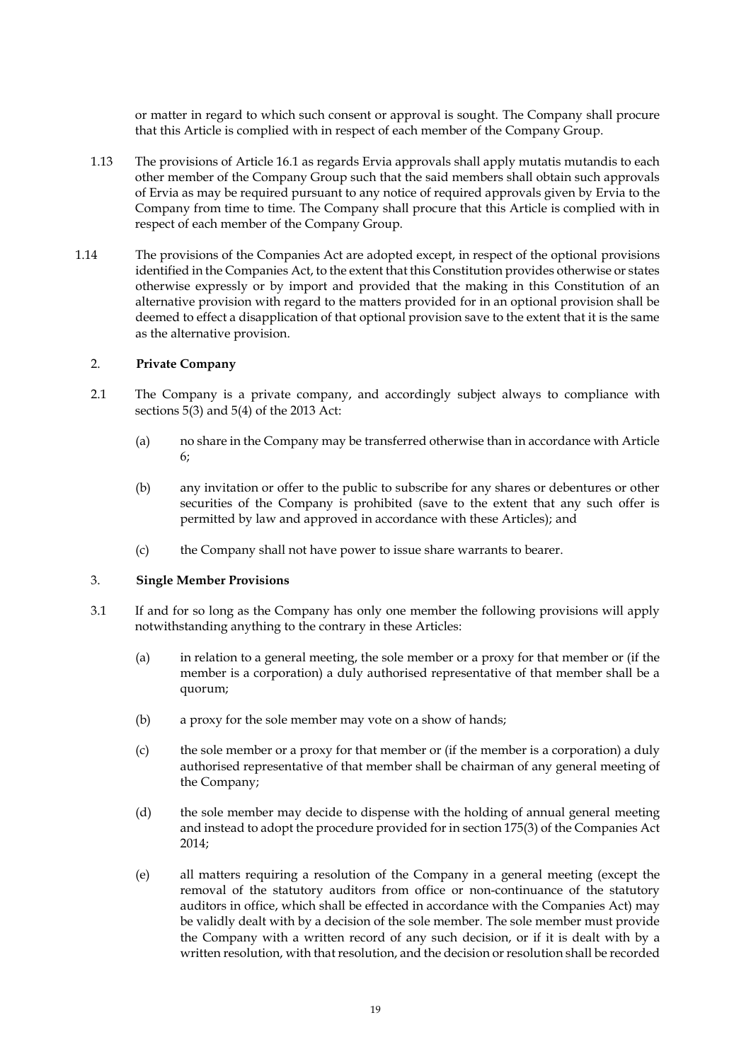or matter in regard to which such consent or approval is sought. The Company shall procure that this Article is complied with in respect of each member of the Company Group.

- 1.13 The provisions of Article [16.1](#page-27-0) as regards Ervia approvals shall apply mutatis mutandis to each other member of the Company Group such that the said members shall obtain such approvals of Ervia as may be required pursuant to any notice of required approvals given by Ervia to the Company from time to time. The Company shall procure that this Article is complied with in respect of each member of the Company Group.
- 1.14 The provisions of the Companies Act are adopted except, in respect of the optional provisions identified in the Companies Act, to the extent that this Constitution provides otherwise or states otherwise expressly or by import and provided that the making in this Constitution of an alternative provision with regard to the matters provided for in an optional provision shall be deemed to effect a disapplication of that optional provision save to the extent that it is the same as the alternative provision.

## 2. **Private Company**

- 2.1 The Company is a private company, and accordingly subject always to compliance with sections 5(3) and 5(4) of the 2013 Act:
	- (a) no share in the Company may be transferred otherwise than in accordance with Article [6;](#page-21-1)
	- (b) any invitation or offer to the public to subscribe for any shares or debentures or other securities of the Company is prohibited (save to the extent that any such offer is permitted by law and approved in accordance with these Articles); and
	- (c) the Company shall not have power to issue share warrants to bearer.

### 3. **Single Member Provisions**

- 3.1 If and for so long as the Company has only one member the following provisions will apply notwithstanding anything to the contrary in these Articles:
	- (a) in relation to a general meeting, the sole member or a proxy for that member or (if the member is a corporation) a duly authorised representative of that member shall be a quorum;
	- (b) a proxy for the sole member may vote on a show of hands;
	- (c) the sole member or a proxy for that member or (if the member is a corporation) a duly authorised representative of that member shall be chairman of any general meeting of the Company;
	- (d) the sole member may decide to dispense with the holding of annual general meeting and instead to adopt the procedure provided for in section 175(3) of the Companies Act 2014;
	- (e) all matters requiring a resolution of the Company in a general meeting (except the removal of the statutory auditors from office or non-continuance of the statutory auditors in office, which shall be effected in accordance with the Companies Act) may be validly dealt with by a decision of the sole member. The sole member must provide the Company with a written record of any such decision, or if it is dealt with by a written resolution, with that resolution, and the decision or resolution shall be recorded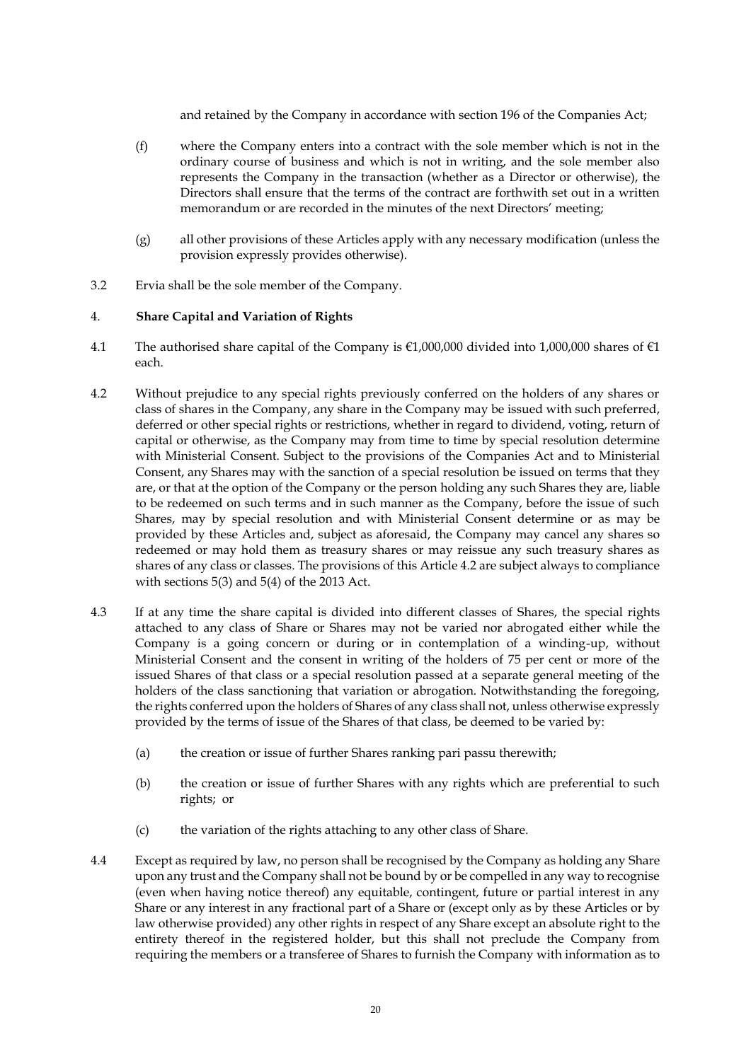and retained by the Company in accordance with section 196 of the Companies Act;

- (f) where the Company enters into a contract with the sole member which is not in the ordinary course of business and which is not in writing, and the sole member also represents the Company in the transaction (whether as a Director or otherwise), the Directors shall ensure that the terms of the contract are forthwith set out in a written memorandum or are recorded in the minutes of the next Directors' meeting;
- (g) all other provisions of these Articles apply with any necessary modification (unless the provision expressly provides otherwise).
- 3.2 Ervia shall be the sole member of the Company.

## 4. **Share Capital and Variation of Rights**

- 4.1 The authorised share capital of the Company is  $\epsilon$ 1,000,000 divided into 1,000,000 shares of  $\epsilon$ 1 each.
- <span id="page-20-0"></span>4.2 Without prejudice to any special rights previously conferred on the holders of any shares or class of shares in the Company, any share in the Company may be issued with such preferred, deferred or other special rights or restrictions, whether in regard to dividend, voting, return of capital or otherwise, as the Company may from time to time by special resolution determine with Ministerial Consent. Subject to the provisions of the Companies Act and to Ministerial Consent, any Shares may with the sanction of a special resolution be issued on terms that they are, or that at the option of the Company or the person holding any such Shares they are, liable to be redeemed on such terms and in such manner as the Company, before the issue of such Shares, may by special resolution and with Ministerial Consent determine or as may be provided by these Articles and, subject as aforesaid, the Company may cancel any shares so redeemed or may hold them as treasury shares or may reissue any such treasury shares as shares of any class or classes. The provisions of this Article [4.2](#page-20-0) are subject always to compliance with sections 5(3) and 5(4) of the 2013 Act.
- 4.3 If at any time the share capital is divided into different classes of Shares, the special rights attached to any class of Share or Shares may not be varied nor abrogated either while the Company is a going concern or during or in contemplation of a winding-up, without Ministerial Consent and the consent in writing of the holders of 75 per cent or more of the issued Shares of that class or a special resolution passed at a separate general meeting of the holders of the class sanctioning that variation or abrogation. Notwithstanding the foregoing, the rights conferred upon the holders of Shares of any class shall not, unless otherwise expressly provided by the terms of issue of the Shares of that class, be deemed to be varied by:
	- (a) the creation or issue of further Shares ranking pari passu therewith;
	- (b) the creation or issue of further Shares with any rights which are preferential to such rights; or
	- (c) the variation of the rights attaching to any other class of Share.
- 4.4 Except as required by law, no person shall be recognised by the Company as holding any Share upon any trust and the Company shall not be bound by or be compelled in any way to recognise (even when having notice thereof) any equitable, contingent, future or partial interest in any Share or any interest in any fractional part of a Share or (except only as by these Articles or by law otherwise provided) any other rights in respect of any Share except an absolute right to the entirety thereof in the registered holder, but this shall not preclude the Company from requiring the members or a transferee of Shares to furnish the Company with information as to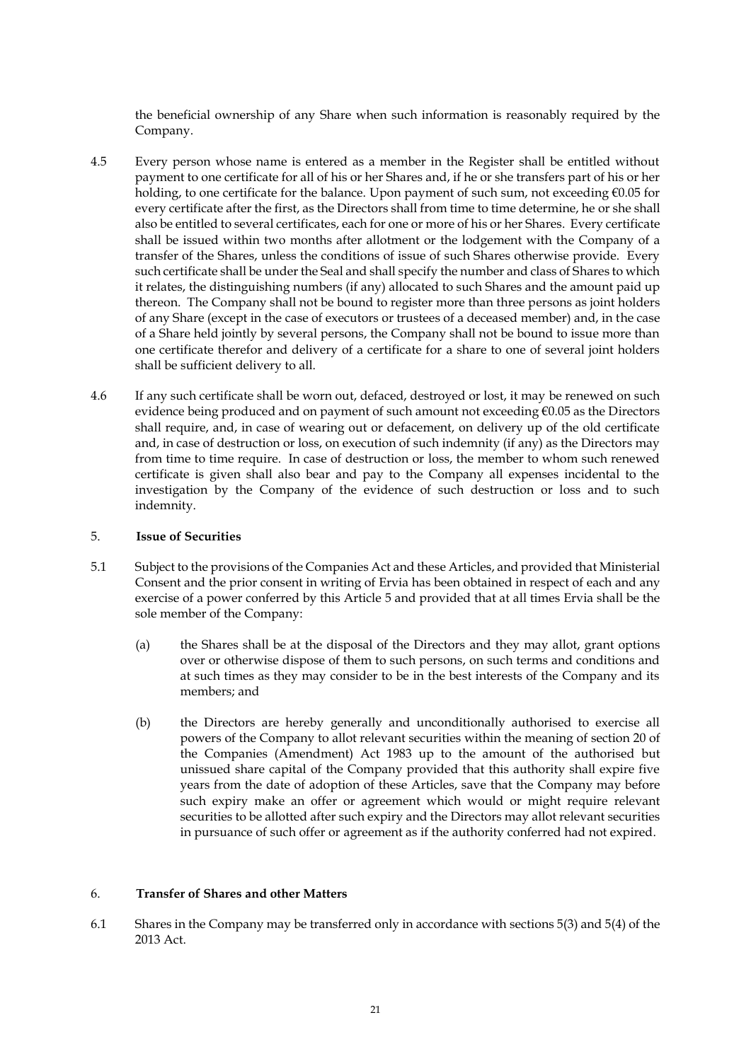the beneficial ownership of any Share when such information is reasonably required by the Company.

- 4.5 Every person whose name is entered as a member in the Register shall be entitled without payment to one certificate for all of his or her Shares and, if he or she transfers part of his or her holding, to one certificate for the balance. Upon payment of such sum, not exceeding €0.05 for every certificate after the first, as the Directors shall from time to time determine, he or she shall also be entitled to several certificates, each for one or more of his or her Shares. Every certificate shall be issued within two months after allotment or the lodgement with the Company of a transfer of the Shares, unless the conditions of issue of such Shares otherwise provide. Every such certificate shall be under the Seal and shall specify the number and class of Shares to which it relates, the distinguishing numbers (if any) allocated to such Shares and the amount paid up thereon. The Company shall not be bound to register more than three persons as joint holders of any Share (except in the case of executors or trustees of a deceased member) and, in the case of a Share held jointly by several persons, the Company shall not be bound to issue more than one certificate therefor and delivery of a certificate for a share to one of several joint holders shall be sufficient delivery to all.
- 4.6 If any such certificate shall be worn out, defaced, destroyed or lost, it may be renewed on such evidence being produced and on payment of such amount not exceeding €0.05 as the Directors shall require, and, in case of wearing out or defacement, on delivery up of the old certificate and, in case of destruction or loss, on execution of such indemnity (if any) as the Directors may from time to time require. In case of destruction or loss, the member to whom such renewed certificate is given shall also bear and pay to the Company all expenses incidental to the investigation by the Company of the evidence of such destruction or loss and to such indemnity.

### <span id="page-21-0"></span>5. **Issue of Securities**

- 5.1 Subject to the provisions of the Companies Act and these Articles, and provided that Ministerial Consent and the prior consent in writing of Ervia has been obtained in respect of each and any exercise of a power conferred by this Article [5](#page-21-0) and provided that at all times Ervia shall be the sole member of the Company:
	- (a) the Shares shall be at the disposal of the Directors and they may allot, grant options over or otherwise dispose of them to such persons, on such terms and conditions and at such times as they may consider to be in the best interests of the Company and its members; and
	- (b) the Directors are hereby generally and unconditionally authorised to exercise all powers of the Company to allot relevant securities within the meaning of section 20 of the Companies (Amendment) Act 1983 up to the amount of the authorised but unissued share capital of the Company provided that this authority shall expire five years from the date of adoption of these Articles, save that the Company may before such expiry make an offer or agreement which would or might require relevant securities to be allotted after such expiry and the Directors may allot relevant securities in pursuance of such offer or agreement as if the authority conferred had not expired.

## <span id="page-21-1"></span>6. **Transfer of Shares and other Matters**

6.1 Shares in the Company may be transferred only in accordance with sections 5(3) and 5(4) of the 2013 Act.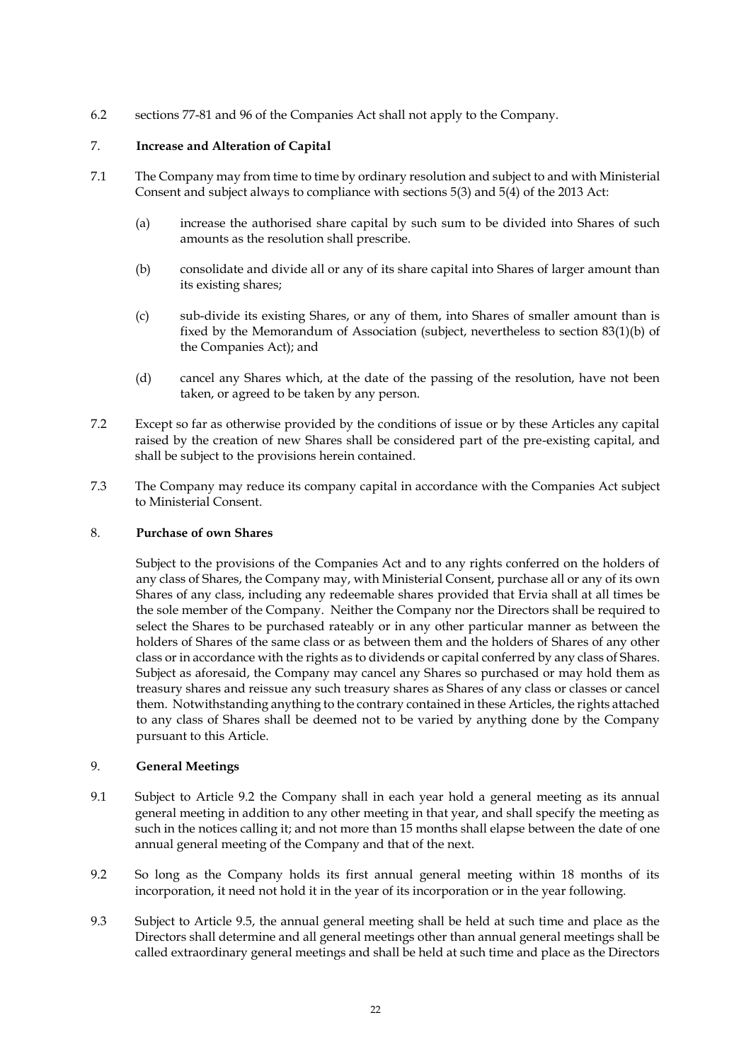6.2 sections 77-81 and 96 of the Companies Act shall not apply to the Company.

# <span id="page-22-0"></span>7. **Increase and Alteration of Capital**

- 7.1 The Company may from time to time by ordinary resolution and subject to and with Ministerial Consent and subject always to compliance with sections 5(3) and 5(4) of the 2013 Act:
	- (a) increase the authorised share capital by such sum to be divided into Shares of such amounts as the resolution shall prescribe.
	- (b) consolidate and divide all or any of its share capital into Shares of larger amount than its existing shares;
	- (c) sub-divide its existing Shares, or any of them, into Shares of smaller amount than is fixed by the Memorandum of Association (subject, nevertheless to section 83(1)(b) of the Companies Act); and
	- (d) cancel any Shares which, at the date of the passing of the resolution, have not been taken, or agreed to be taken by any person.
- 7.2 Except so far as otherwise provided by the conditions of issue or by these Articles any capital raised by the creation of new Shares shall be considered part of the pre-existing capital, and shall be subject to the provisions herein contained.
- 7.3 The Company may reduce its company capital in accordance with the Companies Act subject to Ministerial Consent.

# <span id="page-22-1"></span>8. **Purchase of own Shares**

Subject to the provisions of the Companies Act and to any rights conferred on the holders of any class of Shares, the Company may, with Ministerial Consent, purchase all or any of its own Shares of any class, including any redeemable shares provided that Ervia shall at all times be the sole member of the Company. Neither the Company nor the Directors shall be required to select the Shares to be purchased rateably or in any other particular manner as between the holders of Shares of the same class or as between them and the holders of Shares of any other class or in accordance with the rights as to dividends or capital conferred by any class of Shares. Subject as aforesaid, the Company may cancel any Shares so purchased or may hold them as treasury shares and reissue any such treasury shares as Shares of any class or classes or cancel them. Notwithstanding anything to the contrary contained in these Articles, the rights attached to any class of Shares shall be deemed not to be varied by anything done by the Company pursuant to this Article.

## 9. **General Meetings**

- 9.1 Subject to Article [9.2](#page-22-2) the Company shall in each year hold a general meeting as its annual general meeting in addition to any other meeting in that year, and shall specify the meeting as such in the notices calling it; and not more than 15 months shall elapse between the date of one annual general meeting of the Company and that of the next.
- <span id="page-22-2"></span>9.2 So long as the Company holds its first annual general meeting within 18 months of its incorporation, it need not hold it in the year of its incorporation or in the year following.
- 9.3 Subject to Article [9.5,](#page-23-0) the annual general meeting shall be held at such time and place as the Directors shall determine and all general meetings other than annual general meetings shall be called extraordinary general meetings and shall be held at such time and place as the Directors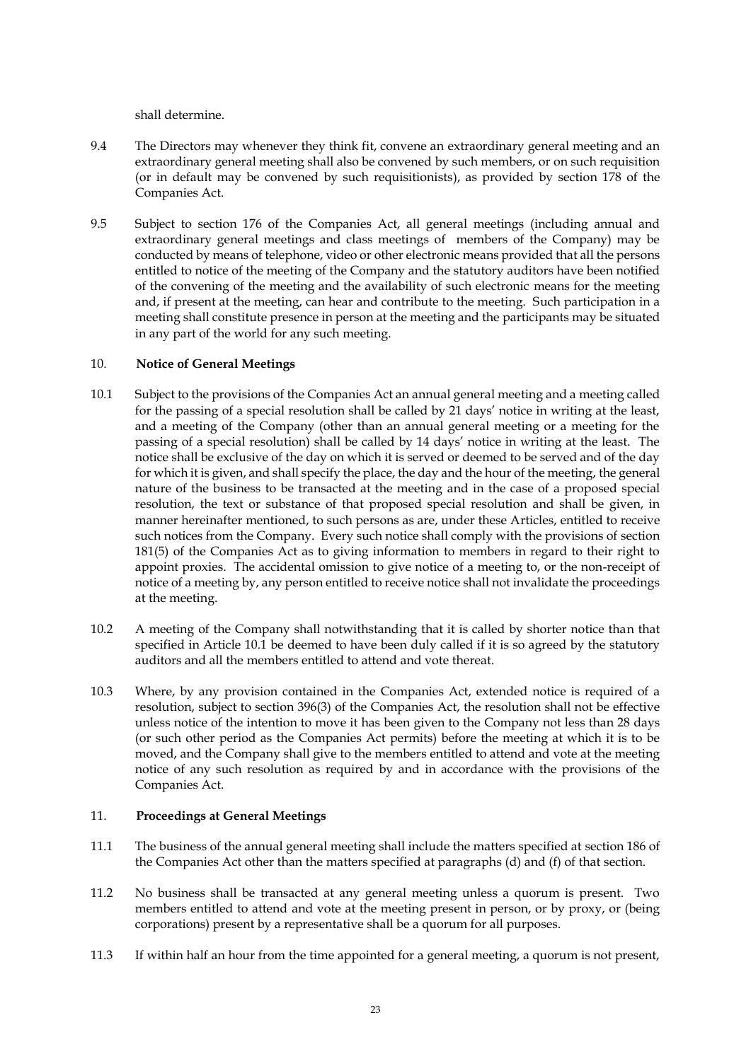shall determine.

- 9.4 The Directors may whenever they think fit, convene an extraordinary general meeting and an extraordinary general meeting shall also be convened by such members, or on such requisition (or in default may be convened by such requisitionists), as provided by section 178 of the Companies Act.
- <span id="page-23-0"></span>9.5 Subject to section 176 of the Companies Act, all general meetings (including annual and extraordinary general meetings and class meetings of members of the Company) may be conducted by means of telephone, video or other electronic means provided that all the persons entitled to notice of the meeting of the Company and the statutory auditors have been notified of the convening of the meeting and the availability of such electronic means for the meeting and, if present at the meeting, can hear and contribute to the meeting. Such participation in a meeting shall constitute presence in person at the meeting and the participants may be situated in any part of the world for any such meeting.

## 10. **Notice of General Meetings**

- <span id="page-23-1"></span>10.1 Subject to the provisions of the Companies Act an annual general meeting and a meeting called for the passing of a special resolution shall be called by 21 days' notice in writing at the least, and a meeting of the Company (other than an annual general meeting or a meeting for the passing of a special resolution) shall be called by 14 days' notice in writing at the least. The notice shall be exclusive of the day on which it is served or deemed to be served and of the day for which it is given, and shall specify the place, the day and the hour of the meeting, the general nature of the business to be transacted at the meeting and in the case of a proposed special resolution, the text or substance of that proposed special resolution and shall be given, in manner hereinafter mentioned, to such persons as are, under these Articles, entitled to receive such notices from the Company. Every such notice shall comply with the provisions of section 181(5) of the Companies Act as to giving information to members in regard to their right to appoint proxies. The accidental omission to give notice of a meeting to, or the non-receipt of notice of a meeting by, any person entitled to receive notice shall not invalidate the proceedings at the meeting.
- 10.2 A meeting of the Company shall notwithstanding that it is called by shorter notice than that specified in Article [10.1](#page-23-1) be deemed to have been duly called if it is so agreed by the statutory auditors and all the members entitled to attend and vote thereat.
- 10.3 Where, by any provision contained in the Companies Act, extended notice is required of a resolution, subject to section 396(3) of the Companies Act, the resolution shall not be effective unless notice of the intention to move it has been given to the Company not less than 28 days (or such other period as the Companies Act permits) before the meeting at which it is to be moved, and the Company shall give to the members entitled to attend and vote at the meeting notice of any such resolution as required by and in accordance with the provisions of the Companies Act.

## 11. **Proceedings at General Meetings**

- 11.1 The business of the annual general meeting shall include the matters specified at section 186 of the Companies Act other than the matters specified at paragraphs (d) and (f) of that section.
- 11.2 No business shall be transacted at any general meeting unless a quorum is present. Two members entitled to attend and vote at the meeting present in person, or by proxy, or (being corporations) present by a representative shall be a quorum for all purposes.
- 11.3 If within half an hour from the time appointed for a general meeting, a quorum is not present,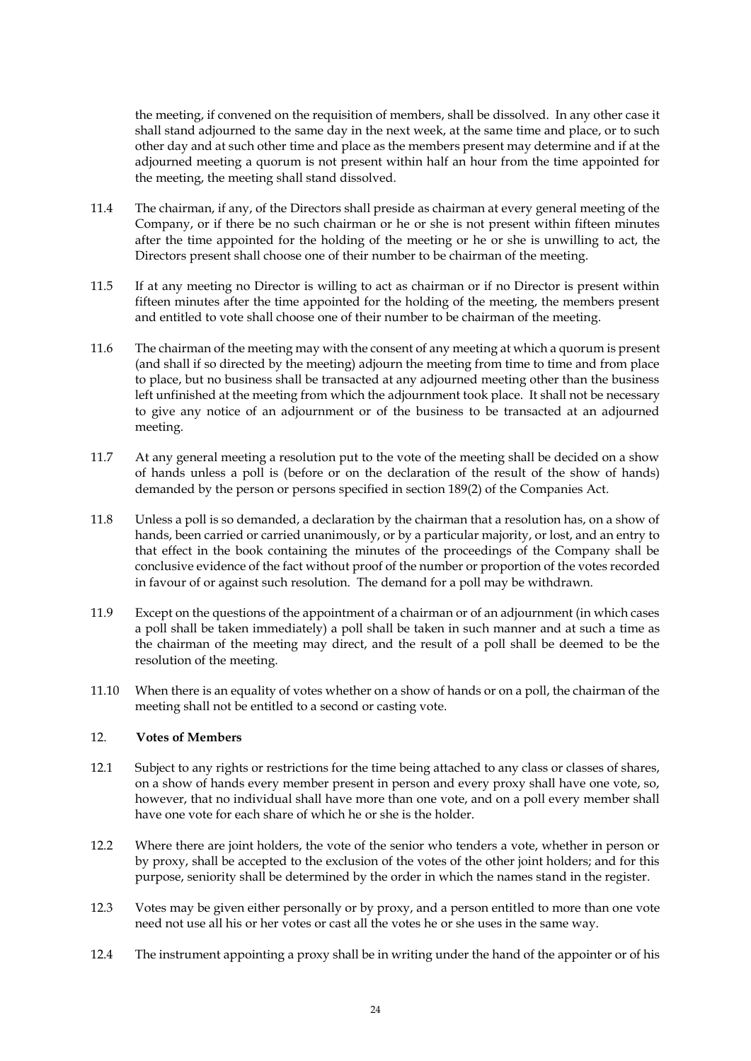the meeting, if convened on the requisition of members, shall be dissolved. In any other case it shall stand adjourned to the same day in the next week, at the same time and place, or to such other day and at such other time and place as the members present may determine and if at the adjourned meeting a quorum is not present within half an hour from the time appointed for the meeting, the meeting shall stand dissolved.

- 11.4 The chairman, if any, of the Directors shall preside as chairman at every general meeting of the Company, or if there be no such chairman or he or she is not present within fifteen minutes after the time appointed for the holding of the meeting or he or she is unwilling to act, the Directors present shall choose one of their number to be chairman of the meeting.
- 11.5 If at any meeting no Director is willing to act as chairman or if no Director is present within fifteen minutes after the time appointed for the holding of the meeting, the members present and entitled to vote shall choose one of their number to be chairman of the meeting.
- 11.6 The chairman of the meeting may with the consent of any meeting at which a quorum is present (and shall if so directed by the meeting) adjourn the meeting from time to time and from place to place, but no business shall be transacted at any adjourned meeting other than the business left unfinished at the meeting from which the adjournment took place. It shall not be necessary to give any notice of an adjournment or of the business to be transacted at an adjourned meeting.
- 11.7 At any general meeting a resolution put to the vote of the meeting shall be decided on a show of hands unless a poll is (before or on the declaration of the result of the show of hands) demanded by the person or persons specified in section 189(2) of the Companies Act.
- 11.8 Unless a poll is so demanded, a declaration by the chairman that a resolution has, on a show of hands, been carried or carried unanimously, or by a particular majority, or lost, and an entry to that effect in the book containing the minutes of the proceedings of the Company shall be conclusive evidence of the fact without proof of the number or proportion of the votes recorded in favour of or against such resolution. The demand for a poll may be withdrawn.
- 11.9 Except on the questions of the appointment of a chairman or of an adjournment (in which cases a poll shall be taken immediately) a poll shall be taken in such manner and at such a time as the chairman of the meeting may direct, and the result of a poll shall be deemed to be the resolution of the meeting.
- 11.10 When there is an equality of votes whether on a show of hands or on a poll, the chairman of the meeting shall not be entitled to a second or casting vote.

# 12. **Votes of Members**

- 12.1 Subject to any rights or restrictions for the time being attached to any class or classes of shares, on a show of hands every member present in person and every proxy shall have one vote, so, however, that no individual shall have more than one vote, and on a poll every member shall have one vote for each share of which he or she is the holder.
- 12.2 Where there are joint holders, the vote of the senior who tenders a vote, whether in person or by proxy, shall be accepted to the exclusion of the votes of the other joint holders; and for this purpose, seniority shall be determined by the order in which the names stand in the register.
- 12.3 Votes may be given either personally or by proxy, and a person entitled to more than one vote need not use all his or her votes or cast all the votes he or she uses in the same way.
- 12.4 The instrument appointing a proxy shall be in writing under the hand of the appointer or of his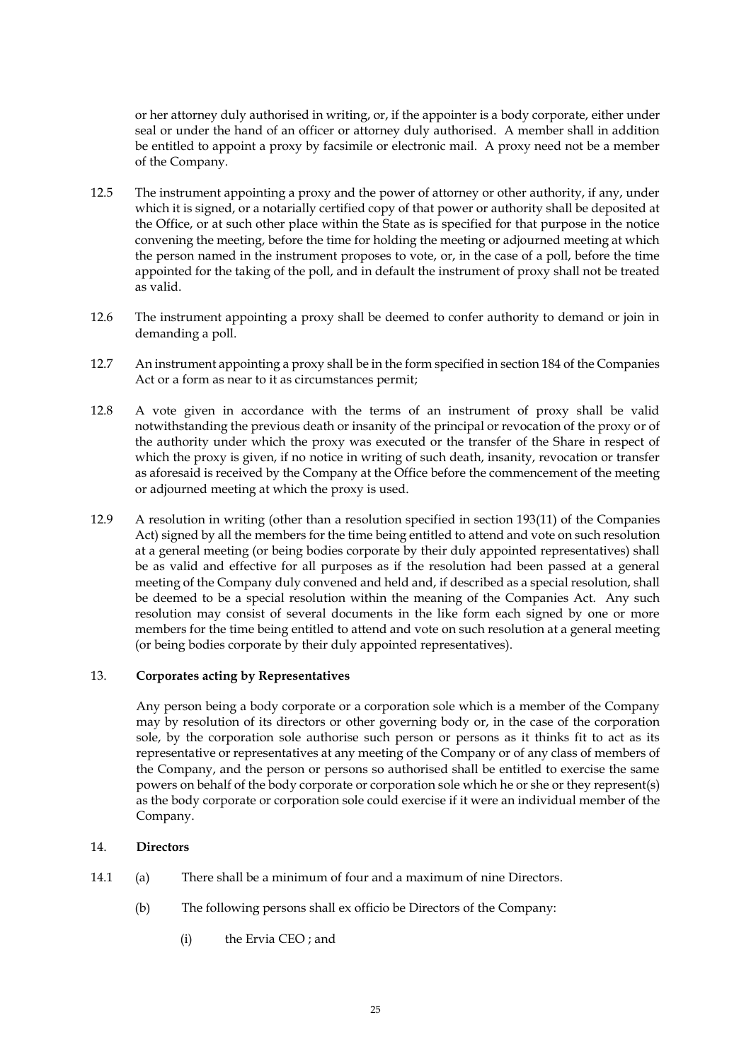or her attorney duly authorised in writing, or, if the appointer is a body corporate, either under seal or under the hand of an officer or attorney duly authorised. A member shall in addition be entitled to appoint a proxy by facsimile or electronic mail. A proxy need not be a member of the Company.

- 12.5 The instrument appointing a proxy and the power of attorney or other authority, if any, under which it is signed, or a notarially certified copy of that power or authority shall be deposited at the Office, or at such other place within the State as is specified for that purpose in the notice convening the meeting, before the time for holding the meeting or adjourned meeting at which the person named in the instrument proposes to vote, or, in the case of a poll, before the time appointed for the taking of the poll, and in default the instrument of proxy shall not be treated as valid.
- 12.6 The instrument appointing a proxy shall be deemed to confer authority to demand or join in demanding a poll.
- 12.7 An instrument appointing a proxy shall be in the form specified in section 184 of the Companies Act or a form as near to it as circumstances permit;
- 12.8 A vote given in accordance with the terms of an instrument of proxy shall be valid notwithstanding the previous death or insanity of the principal or revocation of the proxy or of the authority under which the proxy was executed or the transfer of the Share in respect of which the proxy is given, if no notice in writing of such death, insanity, revocation or transfer as aforesaid is received by the Company at the Office before the commencement of the meeting or adjourned meeting at which the proxy is used.
- 12.9 A resolution in writing (other than a resolution specified in section 193(11) of the Companies Act) signed by all the members for the time being entitled to attend and vote on such resolution at a general meeting (or being bodies corporate by their duly appointed representatives) shall be as valid and effective for all purposes as if the resolution had been passed at a general meeting of the Company duly convened and held and, if described as a special resolution, shall be deemed to be a special resolution within the meaning of the Companies Act. Any such resolution may consist of several documents in the like form each signed by one or more members for the time being entitled to attend and vote on such resolution at a general meeting (or being bodies corporate by their duly appointed representatives).

### 13. **Corporates acting by Representatives**

Any person being a body corporate or a corporation sole which is a member of the Company may by resolution of its directors or other governing body or, in the case of the corporation sole, by the corporation sole authorise such person or persons as it thinks fit to act as its representative or representatives at any meeting of the Company or of any class of members of the Company, and the person or persons so authorised shall be entitled to exercise the same powers on behalf of the body corporate or corporation sole which he or she or they represent(s) as the body corporate or corporation sole could exercise if it were an individual member of the Company.

### 14. **Directors**

- 14.1 (a) There shall be a minimum of four and a maximum of nine Directors.
	- (b) The following persons shall ex officio be Directors of the Company:
		- (i) the Ervia CEO ; and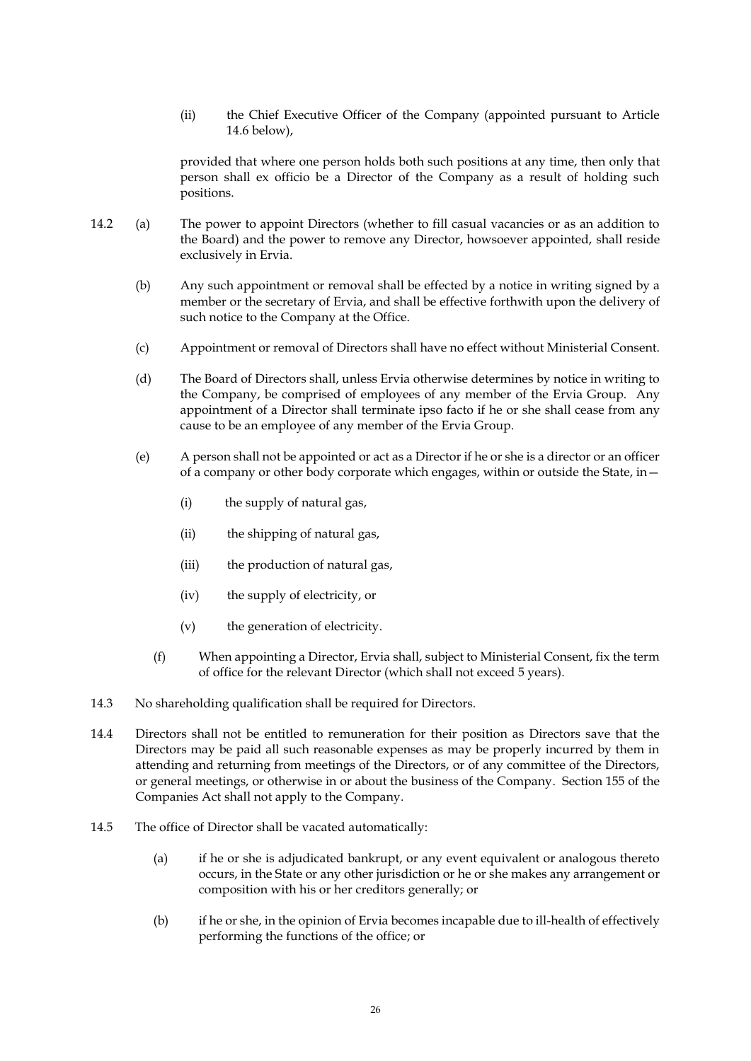(ii) the Chief Executive Officer of the Company (appointed pursuant to Article [14.6](#page-27-1) below),

provided that where one person holds both such positions at any time, then only that person shall ex officio be a Director of the Company as a result of holding such positions.

- 14.2 (a) The power to appoint Directors (whether to fill casual vacancies or as an addition to the Board) and the power to remove any Director, howsoever appointed, shall reside exclusively in Ervia.
	- (b) Any such appointment or removal shall be effected by a notice in writing signed by a member or the secretary of Ervia, and shall be effective forthwith upon the delivery of such notice to the Company at the Office.
	- (c) Appointment or removal of Directors shall have no effect without Ministerial Consent.
	- (d) The Board of Directors shall, unless Ervia otherwise determines by notice in writing to the Company, be comprised of employees of any member of the Ervia Group. Any appointment of a Director shall terminate ipso facto if he or she shall cease from any cause to be an employee of any member of the Ervia Group.
	- (e) A person shall not be appointed or act as a Director if he or she is a director or an officer of a company or other body corporate which engages, within or outside the State, in—
		- (i) the supply of natural gas,
		- (ii) the shipping of natural gas,
		- (iii) the production of natural gas,
		- (iv) the supply of electricity, or
		- (v) the generation of electricity.
		- (f) When appointing a Director, Ervia shall, subject to Ministerial Consent, fix the term of office for the relevant Director (which shall not exceed 5 years).
- 14.3 No shareholding qualification shall be required for Directors.
- <span id="page-26-0"></span>14.4 Directors shall not be entitled to remuneration for their position as Directors save that the Directors may be paid all such reasonable expenses as may be properly incurred by them in attending and returning from meetings of the Directors, or of any committee of the Directors, or general meetings, or otherwise in or about the business of the Company. Section 155 of the Companies Act shall not apply to the Company.
- 14.5 The office of Director shall be vacated automatically:
	- (a) if he or she is adjudicated bankrupt, or any event equivalent or analogous thereto occurs, in the State or any other jurisdiction or he or she makes any arrangement or composition with his or her creditors generally; or
	- (b) if he or she, in the opinion of Ervia becomes incapable due to ill-health of effectively performing the functions of the office; or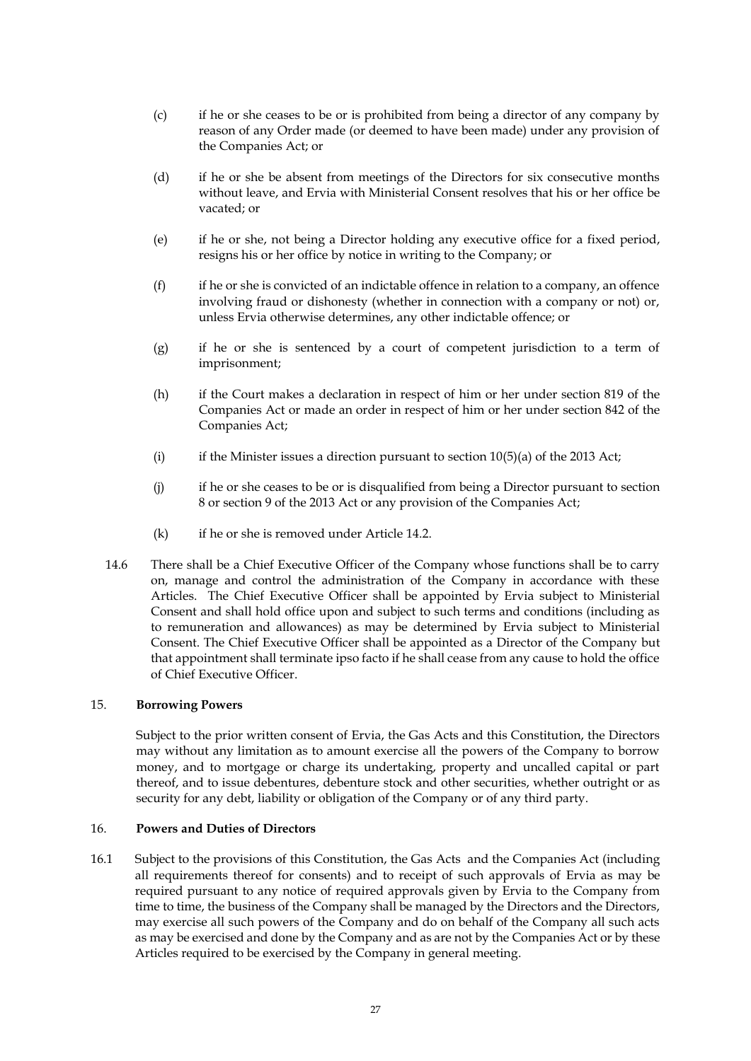- (c) if he or she ceases to be or is prohibited from being a director of any company by reason of any Order made (or deemed to have been made) under any provision of the Companies Act; or
- (d) if he or she be absent from meetings of the Directors for six consecutive months without leave, and Ervia with Ministerial Consent resolves that his or her office be vacated; or
- (e) if he or she, not being a Director holding any executive office for a fixed period, resigns his or her office by notice in writing to the Company; or
- $(f)$  if he or she is convicted of an indictable offence in relation to a company, an offence involving fraud or dishonesty (whether in connection with a company or not) or, unless Ervia otherwise determines, any other indictable offence; or
- (g) if he or she is sentenced by a court of competent jurisdiction to a term of imprisonment;
- (h) if the Court makes a declaration in respect of him or her under section 819 of the Companies Act or made an order in respect of him or her under section 842 of the Companies Act;
- (i) if the Minister issues a direction pursuant to section  $10(5)(a)$  of the 2013 Act;
- (j) if he or she ceases to be or is disqualified from being a Director pursuant to section 8 or section 9 of the 2013 Act or any provision of the Companies Act;
- (k) if he or she is removed under Article 14.2.
- <span id="page-27-1"></span>14.6 There shall be a Chief Executive Officer of the Company whose functions shall be to carry on, manage and control the administration of the Company in accordance with these Articles. The Chief Executive Officer shall be appointed by Ervia subject to Ministerial Consent and shall hold office upon and subject to such terms and conditions (including as to remuneration and allowances) as may be determined by Ervia subject to Ministerial Consent. The Chief Executive Officer shall be appointed as a Director of the Company but that appointment shall terminate ipso facto if he shall cease from any cause to hold the office of Chief Executive Officer.

### 15. **Borrowing Powers**

Subject to the prior written consent of Ervia, the Gas Acts and this Constitution, the Directors may without any limitation as to amount exercise all the powers of the Company to borrow money, and to mortgage or charge its undertaking, property and uncalled capital or part thereof, and to issue debentures, debenture stock and other securities, whether outright or as security for any debt, liability or obligation of the Company or of any third party.

### 16. **Powers and Duties of Directors**

<span id="page-27-0"></span>16.1 Subject to the provisions of this Constitution, the Gas Acts and the Companies Act (including all requirements thereof for consents) and to receipt of such approvals of Ervia as may be required pursuant to any notice of required approvals given by Ervia to the Company from time to time, the business of the Company shall be managed by the Directors and the Directors, may exercise all such powers of the Company and do on behalf of the Company all such acts as may be exercised and done by the Company and as are not by the Companies Act or by these Articles required to be exercised by the Company in general meeting.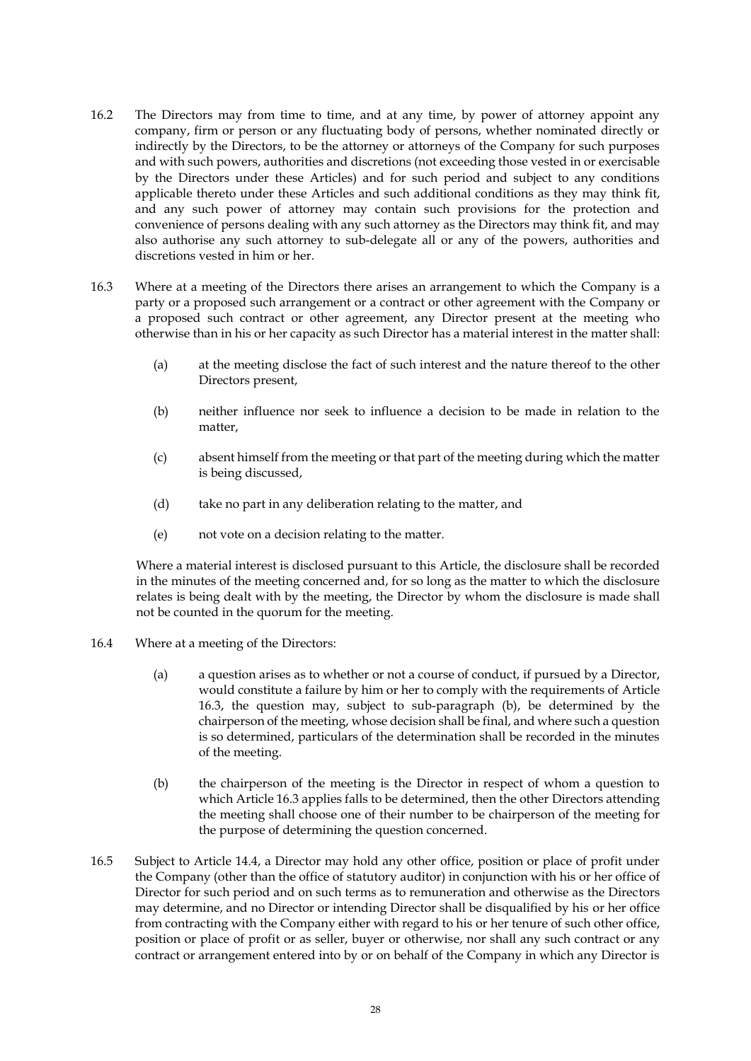- 16.2 The Directors may from time to time, and at any time, by power of attorney appoint any company, firm or person or any fluctuating body of persons, whether nominated directly or indirectly by the Directors, to be the attorney or attorneys of the Company for such purposes and with such powers, authorities and discretions (not exceeding those vested in or exercisable by the Directors under these Articles) and for such period and subject to any conditions applicable thereto under these Articles and such additional conditions as they may think fit, and any such power of attorney may contain such provisions for the protection and convenience of persons dealing with any such attorney as the Directors may think fit, and may also authorise any such attorney to sub-delegate all or any of the powers, authorities and discretions vested in him or her.
- <span id="page-28-0"></span>16.3 Where at a meeting of the Directors there arises an arrangement to which the Company is a party or a proposed such arrangement or a contract or other agreement with the Company or a proposed such contract or other agreement, any Director present at the meeting who otherwise than in his or her capacity as such Director has a material interest in the matter shall:
	- (a) at the meeting disclose the fact of such interest and the nature thereof to the other Directors present,
	- (b) neither influence nor seek to influence a decision to be made in relation to the matter,
	- (c) absent himself from the meeting or that part of the meeting during which the matter is being discussed,
	- (d) take no part in any deliberation relating to the matter, and
	- (e) not vote on a decision relating to the matter.

Where a material interest is disclosed pursuant to this Article, the disclosure shall be recorded in the minutes of the meeting concerned and, for so long as the matter to which the disclosure relates is being dealt with by the meeting, the Director by whom the disclosure is made shall not be counted in the quorum for the meeting.

- 16.4 Where at a meeting of the Directors:
	- (a) a question arises as to whether or not a course of conduct, if pursued by a Director, would constitute a failure by him or her to comply with the requirements of Article [16.3,](#page-28-0) the question may, subject to sub-paragraph (b), be determined by the chairperson of the meeting, whose decision shall be final, and where such a question is so determined, particulars of the determination shall be recorded in the minutes of the meeting.
	- (b) the chairperson of the meeting is the Director in respect of whom a question to which Articl[e 16.3](#page-28-0) applies falls to be determined, then the other Directors attending the meeting shall choose one of their number to be chairperson of the meeting for the purpose of determining the question concerned.
- 16.5 Subject to Article [14.4,](#page-26-0) a Director may hold any other office, position or place of profit under the Company (other than the office of statutory auditor) in conjunction with his or her office of Director for such period and on such terms as to remuneration and otherwise as the Directors may determine, and no Director or intending Director shall be disqualified by his or her office from contracting with the Company either with regard to his or her tenure of such other office, position or place of profit or as seller, buyer or otherwise, nor shall any such contract or any contract or arrangement entered into by or on behalf of the Company in which any Director is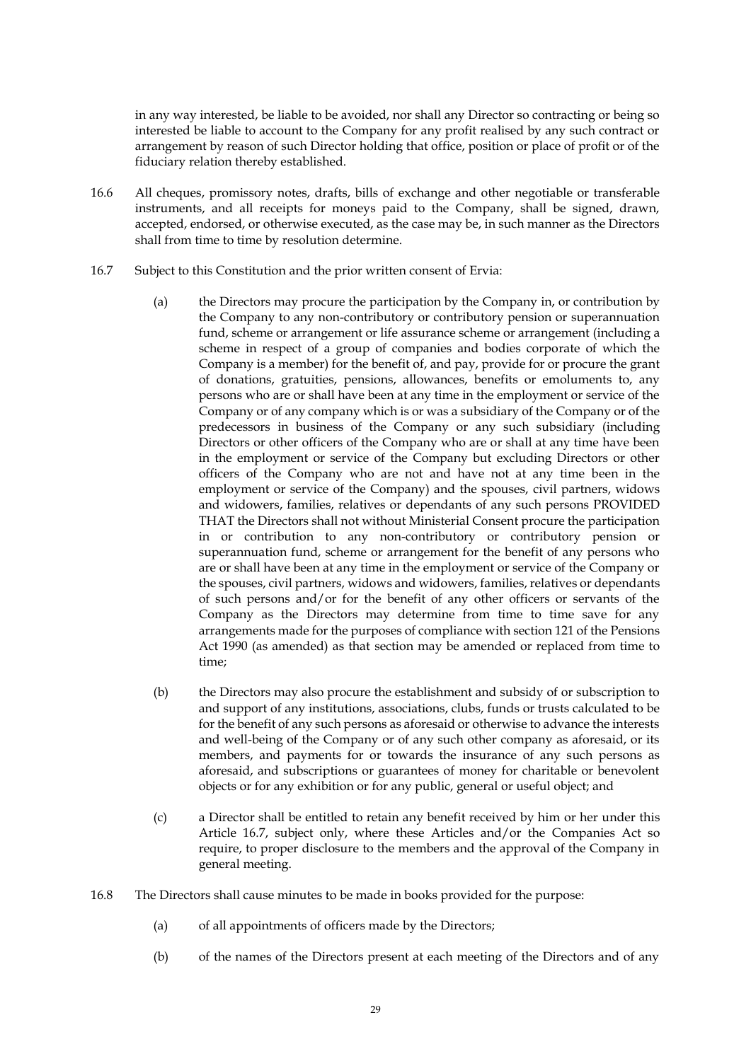in any way interested, be liable to be avoided, nor shall any Director so contracting or being so interested be liable to account to the Company for any profit realised by any such contract or arrangement by reason of such Director holding that office, position or place of profit or of the fiduciary relation thereby established.

- 16.6 All cheques, promissory notes, drafts, bills of exchange and other negotiable or transferable instruments, and all receipts for moneys paid to the Company, shall be signed, drawn, accepted, endorsed, or otherwise executed, as the case may be, in such manner as the Directors shall from time to time by resolution determine.
- <span id="page-29-0"></span>16.7 Subject to this Constitution and the prior written consent of Ervia:
	- (a) the Directors may procure the participation by the Company in, or contribution by the Company to any non-contributory or contributory pension or superannuation fund, scheme or arrangement or life assurance scheme or arrangement (including a scheme in respect of a group of companies and bodies corporate of which the Company is a member) for the benefit of, and pay, provide for or procure the grant of donations, gratuities, pensions, allowances, benefits or emoluments to, any persons who are or shall have been at any time in the employment or service of the Company or of any company which is or was a subsidiary of the Company or of the predecessors in business of the Company or any such subsidiary (including Directors or other officers of the Company who are or shall at any time have been in the employment or service of the Company but excluding Directors or other officers of the Company who are not and have not at any time been in the employment or service of the Company) and the spouses, civil partners, widows and widowers, families, relatives or dependants of any such persons PROVIDED THAT the Directors shall not without Ministerial Consent procure the participation in or contribution to any non-contributory or contributory pension or superannuation fund, scheme or arrangement for the benefit of any persons who are or shall have been at any time in the employment or service of the Company or the spouses, civil partners, widows and widowers, families, relatives or dependants of such persons and/or for the benefit of any other officers or servants of the Company as the Directors may determine from time to time save for any arrangements made for the purposes of compliance with section 121 of the Pensions Act 1990 (as amended) as that section may be amended or replaced from time to time;
	- (b) the Directors may also procure the establishment and subsidy of or subscription to and support of any institutions, associations, clubs, funds or trusts calculated to be for the benefit of any such persons as aforesaid or otherwise to advance the interests and well-being of the Company or of any such other company as aforesaid, or its members, and payments for or towards the insurance of any such persons as aforesaid, and subscriptions or guarantees of money for charitable or benevolent objects or for any exhibition or for any public, general or useful object; and
	- (c) a Director shall be entitled to retain any benefit received by him or her under this Article [16.7,](#page-29-0) subject only, where these Articles and/or the Companies Act so require, to proper disclosure to the members and the approval of the Company in general meeting.
- 16.8 The Directors shall cause minutes to be made in books provided for the purpose:
	- (a) of all appointments of officers made by the Directors;
	- (b) of the names of the Directors present at each meeting of the Directors and of any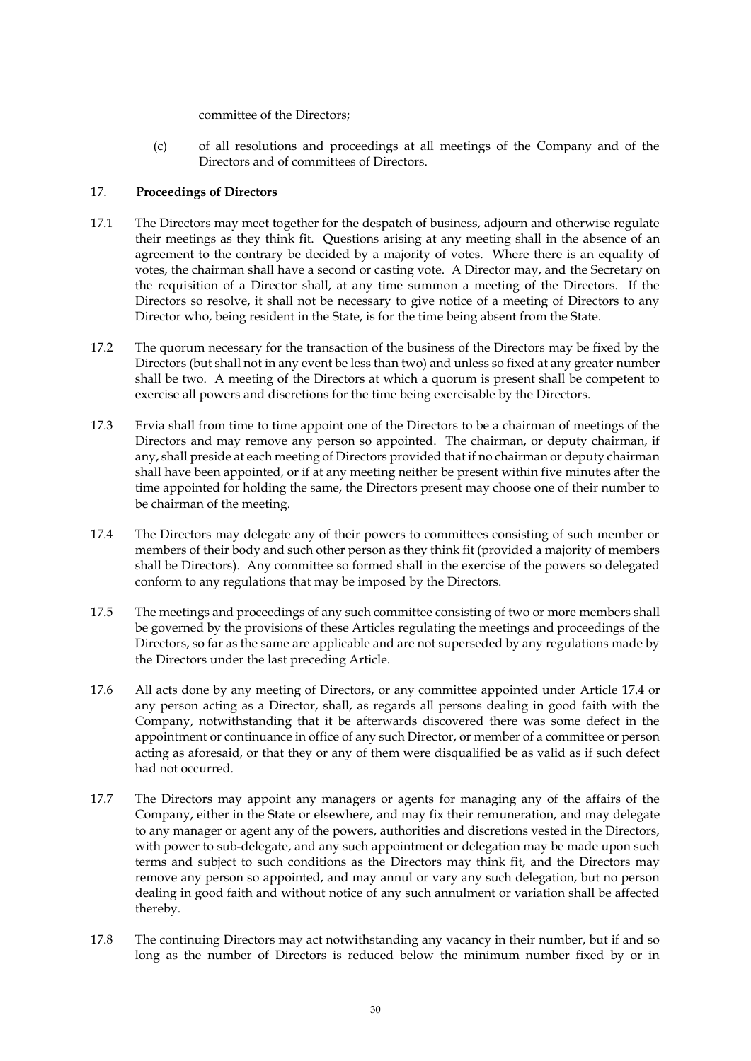committee of the Directors;

(c) of all resolutions and proceedings at all meetings of the Company and of the Directors and of committees of Directors.

## 17. **Proceedings of Directors**

- 17.1 The Directors may meet together for the despatch of business, adjourn and otherwise regulate their meetings as they think fit. Questions arising at any meeting shall in the absence of an agreement to the contrary be decided by a majority of votes. Where there is an equality of votes, the chairman shall have a second or casting vote. A Director may, and the Secretary on the requisition of a Director shall, at any time summon a meeting of the Directors. If the Directors so resolve, it shall not be necessary to give notice of a meeting of Directors to any Director who, being resident in the State, is for the time being absent from the State.
- 17.2 The quorum necessary for the transaction of the business of the Directors may be fixed by the Directors (but shall not in any event be less than two) and unless so fixed at any greater number shall be two. A meeting of the Directors at which a quorum is present shall be competent to exercise all powers and discretions for the time being exercisable by the Directors.
- <span id="page-30-0"></span>17.3 Ervia shall from time to time appoint one of the Directors to be a chairman of meetings of the Directors and may remove any person so appointed. The chairman, or deputy chairman, if any, shall preside at each meeting of Directors provided that if no chairman or deputy chairman shall have been appointed, or if at any meeting neither be present within five minutes after the time appointed for holding the same, the Directors present may choose one of their number to be chairman of the meeting.
- <span id="page-30-1"></span>17.4 The Directors may delegate any of their powers to committees consisting of such member or members of their body and such other person as they think fit (provided a majority of members shall be Directors). Any committee so formed shall in the exercise of the powers so delegated conform to any regulations that may be imposed by the Directors.
- 17.5 The meetings and proceedings of any such committee consisting of two or more members shall be governed by the provisions of these Articles regulating the meetings and proceedings of the Directors, so far as the same are applicable and are not superseded by any regulations made by the Directors under the last preceding Article.
- 17.6 All acts done by any meeting of Directors, or any committee appointed under Article [17.4](#page-30-1) or any person acting as a Director, shall, as regards all persons dealing in good faith with the Company, notwithstanding that it be afterwards discovered there was some defect in the appointment or continuance in office of any such Director, or member of a committee or person acting as aforesaid, or that they or any of them were disqualified be as valid as if such defect had not occurred.
- 17.7 The Directors may appoint any managers or agents for managing any of the affairs of the Company, either in the State or elsewhere, and may fix their remuneration, and may delegate to any manager or agent any of the powers, authorities and discretions vested in the Directors, with power to sub-delegate, and any such appointment or delegation may be made upon such terms and subject to such conditions as the Directors may think fit, and the Directors may remove any person so appointed, and may annul or vary any such delegation, but no person dealing in good faith and without notice of any such annulment or variation shall be affected thereby.
- 17.8 The continuing Directors may act notwithstanding any vacancy in their number, but if and so long as the number of Directors is reduced below the minimum number fixed by or in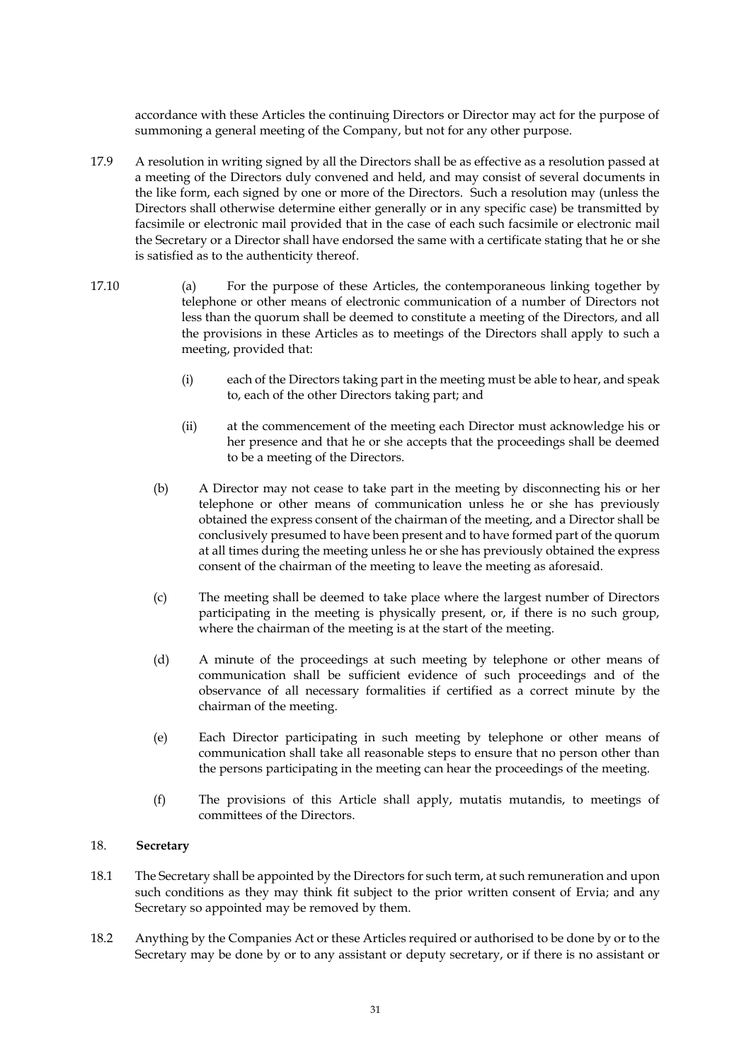accordance with these Articles the continuing Directors or Director may act for the purpose of summoning a general meeting of the Company, but not for any other purpose.

- 17.9 A resolution in writing signed by all the Directors shall be as effective as a resolution passed at a meeting of the Directors duly convened and held, and may consist of several documents in the like form, each signed by one or more of the Directors. Such a resolution may (unless the Directors shall otherwise determine either generally or in any specific case) be transmitted by facsimile or electronic mail provided that in the case of each such facsimile or electronic mail the Secretary or a Director shall have endorsed the same with a certificate stating that he or she is satisfied as to the authenticity thereof.
- 17.10 (a) For the purpose of these Articles, the contemporaneous linking together by telephone or other means of electronic communication of a number of Directors not less than the quorum shall be deemed to constitute a meeting of the Directors, and all the provisions in these Articles as to meetings of the Directors shall apply to such a meeting, provided that:
	- (i) each of the Directors taking part in the meeting must be able to hear, and speak to, each of the other Directors taking part; and
	- (ii) at the commencement of the meeting each Director must acknowledge his or her presence and that he or she accepts that the proceedings shall be deemed to be a meeting of the Directors.
	- (b) A Director may not cease to take part in the meeting by disconnecting his or her telephone or other means of communication unless he or she has previously obtained the express consent of the chairman of the meeting, and a Director shall be conclusively presumed to have been present and to have formed part of the quorum at all times during the meeting unless he or she has previously obtained the express consent of the chairman of the meeting to leave the meeting as aforesaid.
	- (c) The meeting shall be deemed to take place where the largest number of Directors participating in the meeting is physically present, or, if there is no such group, where the chairman of the meeting is at the start of the meeting.
	- (d) A minute of the proceedings at such meeting by telephone or other means of communication shall be sufficient evidence of such proceedings and of the observance of all necessary formalities if certified as a correct minute by the chairman of the meeting.
	- (e) Each Director participating in such meeting by telephone or other means of communication shall take all reasonable steps to ensure that no person other than the persons participating in the meeting can hear the proceedings of the meeting.
	- (f) The provisions of this Article shall apply, mutatis mutandis, to meetings of committees of the Directors.

## 18. **Secretary**

- 18.1 The Secretary shall be appointed by the Directors for such term, at such remuneration and upon such conditions as they may think fit subject to the prior written consent of Ervia; and any Secretary so appointed may be removed by them.
- 18.2 Anything by the Companies Act or these Articles required or authorised to be done by or to the Secretary may be done by or to any assistant or deputy secretary, or if there is no assistant or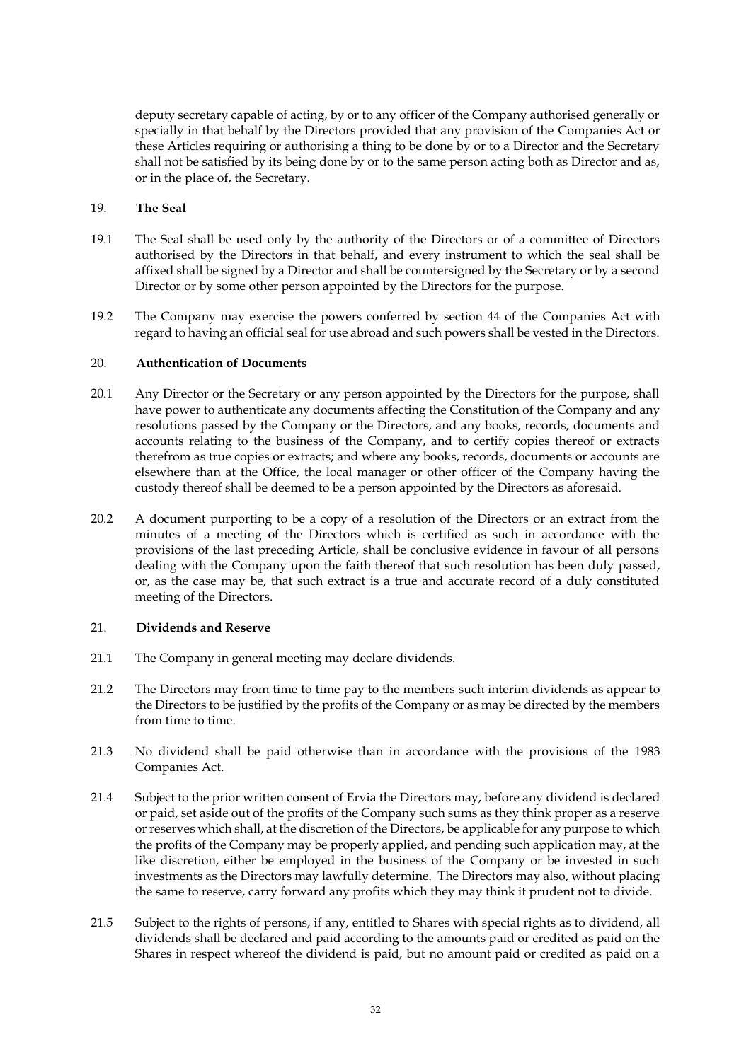deputy secretary capable of acting, by or to any officer of the Company authorised generally or specially in that behalf by the Directors provided that any provision of the Companies Act or these Articles requiring or authorising a thing to be done by or to a Director and the Secretary shall not be satisfied by its being done by or to the same person acting both as Director and as, or in the place of, the Secretary.

## 19. **The Seal**

- 19.1 The Seal shall be used only by the authority of the Directors or of a committee of Directors authorised by the Directors in that behalf, and every instrument to which the seal shall be affixed shall be signed by a Director and shall be countersigned by the Secretary or by a second Director or by some other person appointed by the Directors for the purpose.
- 19.2 The Company may exercise the powers conferred by section 44 of the Companies Act with regard to having an official seal for use abroad and such powers shall be vested in the Directors.

### 20. **Authentication of Documents**

- 20.1 Any Director or the Secretary or any person appointed by the Directors for the purpose, shall have power to authenticate any documents affecting the Constitution of the Company and any resolutions passed by the Company or the Directors, and any books, records, documents and accounts relating to the business of the Company, and to certify copies thereof or extracts therefrom as true copies or extracts; and where any books, records, documents or accounts are elsewhere than at the Office, the local manager or other officer of the Company having the custody thereof shall be deemed to be a person appointed by the Directors as aforesaid.
- 20.2 A document purporting to be a copy of a resolution of the Directors or an extract from the minutes of a meeting of the Directors which is certified as such in accordance with the provisions of the last preceding Article, shall be conclusive evidence in favour of all persons dealing with the Company upon the faith thereof that such resolution has been duly passed, or, as the case may be, that such extract is a true and accurate record of a duly constituted meeting of the Directors.

## 21. **Dividends and Reserve**

- 21.1 The Company in general meeting may declare dividends.
- 21.2 The Directors may from time to time pay to the members such interim dividends as appear to the Directors to be justified by the profits of the Company or as may be directed by the members from time to time.
- 21.3 No dividend shall be paid otherwise than in accordance with the provisions of the 1983 Companies Act.
- 21.4 Subject to the prior written consent of Ervia the Directors may, before any dividend is declared or paid, set aside out of the profits of the Company such sums as they think proper as a reserve or reserves which shall, at the discretion of the Directors, be applicable for any purpose to which the profits of the Company may be properly applied, and pending such application may, at the like discretion, either be employed in the business of the Company or be invested in such investments as the Directors may lawfully determine. The Directors may also, without placing the same to reserve, carry forward any profits which they may think it prudent not to divide.
- 21.5 Subject to the rights of persons, if any, entitled to Shares with special rights as to dividend, all dividends shall be declared and paid according to the amounts paid or credited as paid on the Shares in respect whereof the dividend is paid, but no amount paid or credited as paid on a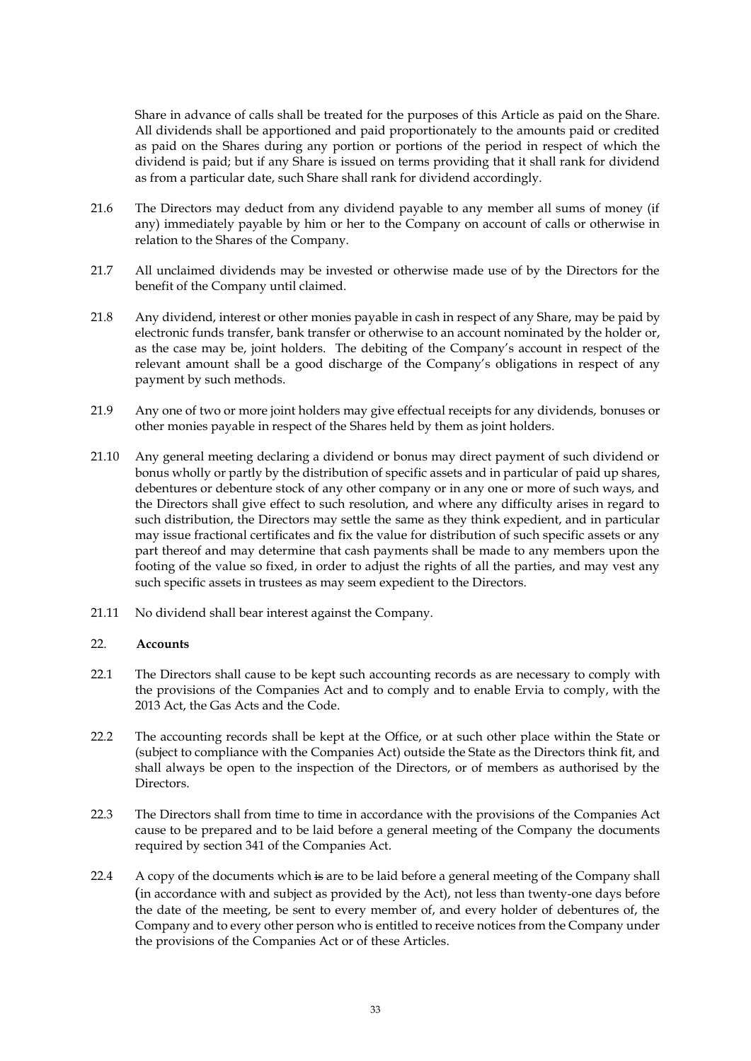Share in advance of calls shall be treated for the purposes of this Article as paid on the Share. All dividends shall be apportioned and paid proportionately to the amounts paid or credited as paid on the Shares during any portion or portions of the period in respect of which the dividend is paid; but if any Share is issued on terms providing that it shall rank for dividend as from a particular date, such Share shall rank for dividend accordingly.

- 21.6 The Directors may deduct from any dividend payable to any member all sums of money (if any) immediately payable by him or her to the Company on account of calls or otherwise in relation to the Shares of the Company.
- 21.7 All unclaimed dividends may be invested or otherwise made use of by the Directors for the benefit of the Company until claimed.
- 21.8 Any dividend, interest or other monies payable in cash in respect of any Share, may be paid by electronic funds transfer, bank transfer or otherwise to an account nominated by the holder or, as the case may be, joint holders. The debiting of the Company's account in respect of the relevant amount shall be a good discharge of the Company's obligations in respect of any payment by such methods.
- 21.9 Any one of two or more joint holders may give effectual receipts for any dividends, bonuses or other monies payable in respect of the Shares held by them as joint holders.
- 21.10 Any general meeting declaring a dividend or bonus may direct payment of such dividend or bonus wholly or partly by the distribution of specific assets and in particular of paid up shares, debentures or debenture stock of any other company or in any one or more of such ways, and the Directors shall give effect to such resolution, and where any difficulty arises in regard to such distribution, the Directors may settle the same as they think expedient, and in particular may issue fractional certificates and fix the value for distribution of such specific assets or any part thereof and may determine that cash payments shall be made to any members upon the footing of the value so fixed, in order to adjust the rights of all the parties, and may vest any such specific assets in trustees as may seem expedient to the Directors.
- 21.11 No dividend shall bear interest against the Company.

### 22. **Accounts**

- 22.1 The Directors shall cause to be kept such accounting records as are necessary to comply with the provisions of the Companies Act and to comply and to enable Ervia to comply, with the 2013 Act, the Gas Acts and the Code.
- 22.2 The accounting records shall be kept at the Office, or at such other place within the State or (subject to compliance with the Companies Act) outside the State as the Directors think fit, and shall always be open to the inspection of the Directors, or of members as authorised by the Directors.
- 22.3 The Directors shall from time to time in accordance with the provisions of the Companies Act cause to be prepared and to be laid before a general meeting of the Company the documents required by section 341 of the Companies Act.
- 22.4 A copy of the documents which is are to be laid before a general meeting of the Company shall (in accordance with and subject as provided by the Act), not less than twenty-one days before the date of the meeting, be sent to every member of, and every holder of debentures of, the Company and to every other person who is entitled to receive notices from the Company under the provisions of the Companies Act or of these Articles.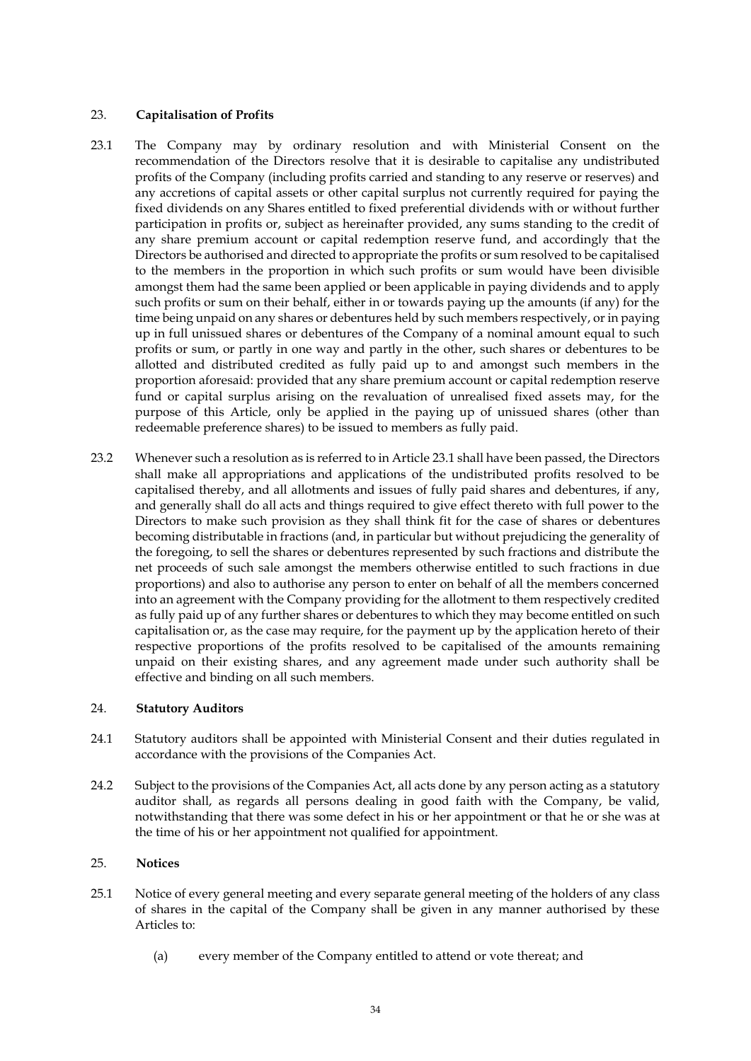## 23. **Capitalisation of Profits**

- 23.1 The Company may by ordinary resolution and with Ministerial Consent on the recommendation of the Directors resolve that it is desirable to capitalise any undistributed profits of the Company (including profits carried and standing to any reserve or reserves) and any accretions of capital assets or other capital surplus not currently required for paying the fixed dividends on any Shares entitled to fixed preferential dividends with or without further participation in profits or, subject as hereinafter provided, any sums standing to the credit of any share premium account or capital redemption reserve fund, and accordingly that the Directors be authorised and directed to appropriate the profits or sum resolved to be capitalised to the members in the proportion in which such profits or sum would have been divisible amongst them had the same been applied or been applicable in paying dividends and to apply such profits or sum on their behalf, either in or towards paying up the amounts (if any) for the time being unpaid on any shares or debentures held by such members respectively, or in paying up in full unissued shares or debentures of the Company of a nominal amount equal to such profits or sum, or partly in one way and partly in the other, such shares or debentures to be allotted and distributed credited as fully paid up to and amongst such members in the proportion aforesaid: provided that any share premium account or capital redemption reserve fund or capital surplus arising on the revaluation of unrealised fixed assets may, for the purpose of this Article, only be applied in the paying up of unissued shares (other than redeemable preference shares) to be issued to members as fully paid.
- 23.2 Whenever such a resolution as is referred to in Article 23.1 shall have been passed, the Directors shall make all appropriations and applications of the undistributed profits resolved to be capitalised thereby, and all allotments and issues of fully paid shares and debentures, if any, and generally shall do all acts and things required to give effect thereto with full power to the Directors to make such provision as they shall think fit for the case of shares or debentures becoming distributable in fractions (and, in particular but without prejudicing the generality of the foregoing, to sell the shares or debentures represented by such fractions and distribute the net proceeds of such sale amongst the members otherwise entitled to such fractions in due proportions) and also to authorise any person to enter on behalf of all the members concerned into an agreement with the Company providing for the allotment to them respectively credited as fully paid up of any further shares or debentures to which they may become entitled on such capitalisation or, as the case may require, for the payment up by the application hereto of their respective proportions of the profits resolved to be capitalised of the amounts remaining unpaid on their existing shares, and any agreement made under such authority shall be effective and binding on all such members.

## 24. **Statutory Auditors**

- 24.1 Statutory auditors shall be appointed with Ministerial Consent and their duties regulated in accordance with the provisions of the Companies Act.
- 24.2 Subject to the provisions of the Companies Act, all acts done by any person acting as a statutory auditor shall, as regards all persons dealing in good faith with the Company, be valid, notwithstanding that there was some defect in his or her appointment or that he or she was at the time of his or her appointment not qualified for appointment.

## 25. **Notices**

- 25.1 Notice of every general meeting and every separate general meeting of the holders of any class of shares in the capital of the Company shall be given in any manner authorised by these Articles to:
	- (a) every member of the Company entitled to attend or vote thereat; and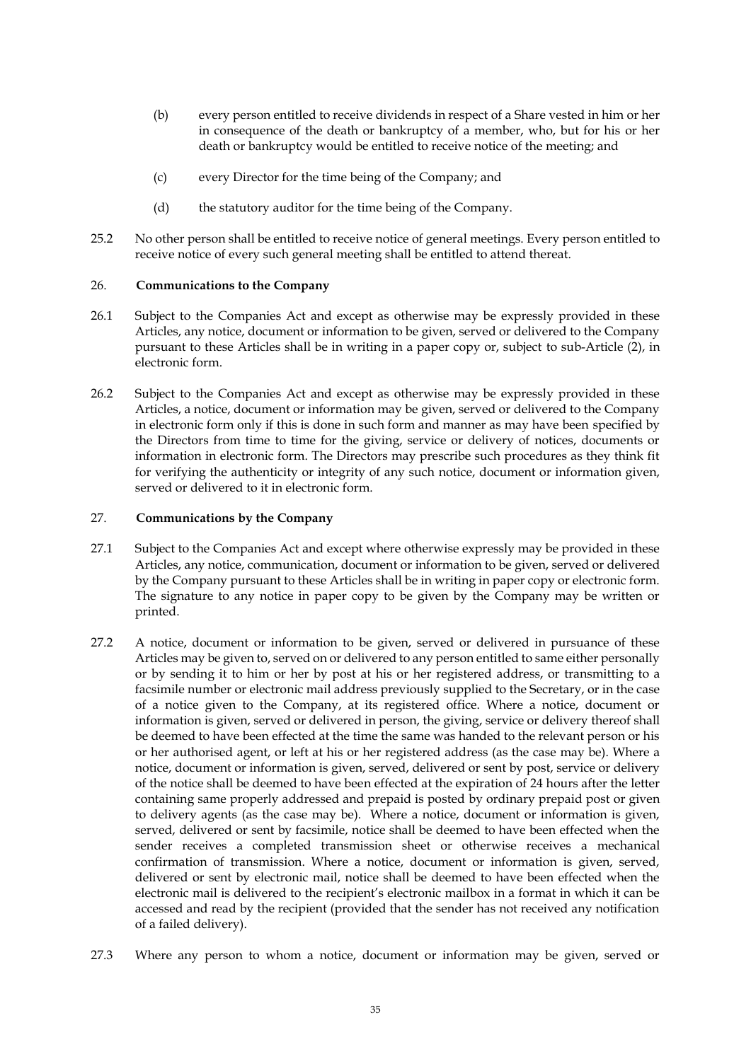- (b) every person entitled to receive dividends in respect of a Share vested in him or her in consequence of the death or bankruptcy of a member, who, but for his or her death or bankruptcy would be entitled to receive notice of the meeting; and
- (c) every Director for the time being of the Company; and
- (d) the statutory auditor for the time being of the Company.
- 25.2 No other person shall be entitled to receive notice of general meetings. Every person entitled to receive notice of every such general meeting shall be entitled to attend thereat.

### 26. **Communications to the Company**

- 26.1 Subject to the Companies Act and except as otherwise may be expressly provided in these Articles, any notice, document or information to be given, served or delivered to the Company pursuant to these Articles shall be in writing in a paper copy or, subject to sub-Article (2), in electronic form.
- 26.2 Subject to the Companies Act and except as otherwise may be expressly provided in these Articles, a notice, document or information may be given, served or delivered to the Company in electronic form only if this is done in such form and manner as may have been specified by the Directors from time to time for the giving, service or delivery of notices, documents or information in electronic form. The Directors may prescribe such procedures as they think fit for verifying the authenticity or integrity of any such notice, document or information given, served or delivered to it in electronic form.

## 27. **Communications by the Company**

- <span id="page-35-0"></span>27.1 Subject to the Companies Act and except where otherwise expressly may be provided in these Articles, any notice, communication, document or information to be given, served or delivered by the Company pursuant to these Articles shall be in writing in paper copy or electronic form. The signature to any notice in paper copy to be given by the Company may be written or printed.
- <span id="page-35-1"></span>27.2 A notice, document or information to be given, served or delivered in pursuance of these Articles may be given to, served on or delivered to any person entitled to same either personally or by sending it to him or her by post at his or her registered address, or transmitting to a facsimile number or electronic mail address previously supplied to the Secretary, or in the case of a notice given to the Company, at its registered office. Where a notice, document or information is given, served or delivered in person, the giving, service or delivery thereof shall be deemed to have been effected at the time the same was handed to the relevant person or his or her authorised agent, or left at his or her registered address (as the case may be). Where a notice, document or information is given, served, delivered or sent by post, service or delivery of the notice shall be deemed to have been effected at the expiration of 24 hours after the letter containing same properly addressed and prepaid is posted by ordinary prepaid post or given to delivery agents (as the case may be). Where a notice, document or information is given, served, delivered or sent by facsimile, notice shall be deemed to have been effected when the sender receives a completed transmission sheet or otherwise receives a mechanical confirmation of transmission. Where a notice, document or information is given, served, delivered or sent by electronic mail, notice shall be deemed to have been effected when the electronic mail is delivered to the recipient's electronic mailbox in a format in which it can be accessed and read by the recipient (provided that the sender has not received any notification of a failed delivery).
- 27.3 Where any person to whom a notice, document or information may be given, served or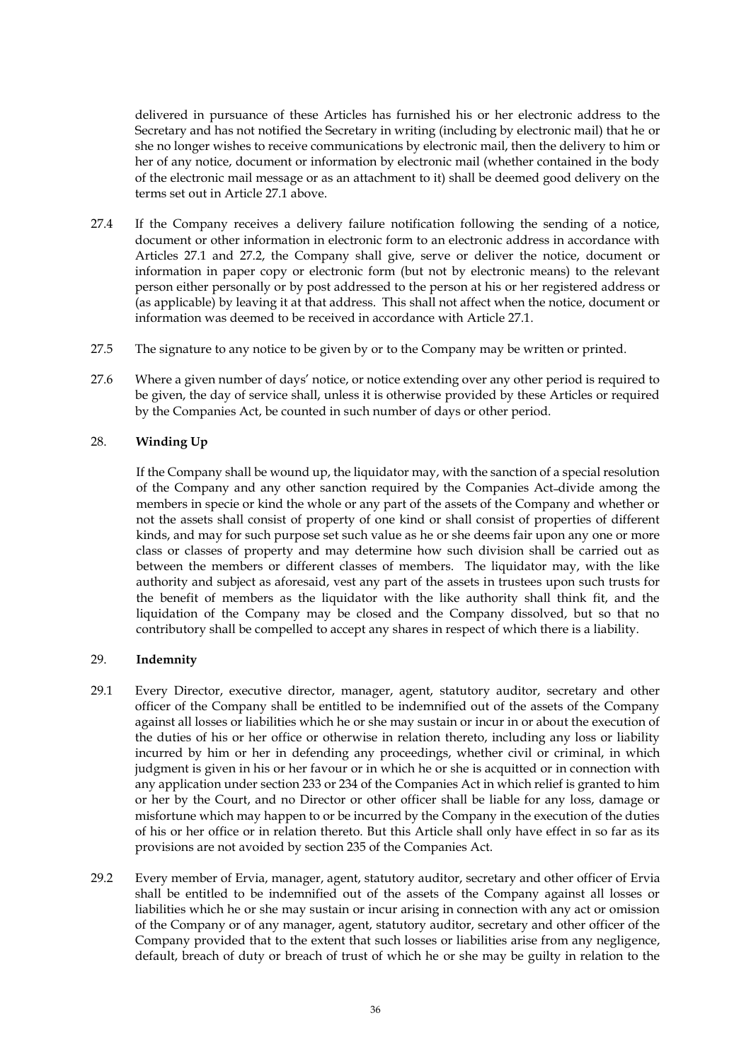delivered in pursuance of these Articles has furnished his or her electronic address to the Secretary and has not notified the Secretary in writing (including by electronic mail) that he or she no longer wishes to receive communications by electronic mail, then the delivery to him or her of any notice, document or information by electronic mail (whether contained in the body of the electronic mail message or as an attachment to it) shall be deemed good delivery on the terms set out in Article [27.1](#page-35-0) above.

- 27.4 If the Company receives a delivery failure notification following the sending of a notice, document or other information in electronic form to an electronic address in accordance with Articles [27.1](#page-35-0) and [27.2,](#page-35-1) the Company shall give, serve or deliver the notice, document or information in paper copy or electronic form (but not by electronic means) to the relevant person either personally or by post addressed to the person at his or her registered address or (as applicable) by leaving it at that address. This shall not affect when the notice, document or information was deemed to be received in accordance with Article [27.1.](#page-35-0)
- 27.5 The signature to any notice to be given by or to the Company may be written or printed.
- 27.6 Where a given number of days' notice, or notice extending over any other period is required to be given, the day of service shall, unless it is otherwise provided by these Articles or required by the Companies Act, be counted in such number of days or other period.

## 28. **Winding Up**

If the Company shall be wound up, the liquidator may, with the sanction of a special resolution of the Company and any other sanction required by the Companies Act divide among the members in specie or kind the whole or any part of the assets of the Company and whether or not the assets shall consist of property of one kind or shall consist of properties of different kinds, and may for such purpose set such value as he or she deems fair upon any one or more class or classes of property and may determine how such division shall be carried out as between the members or different classes of members. The liquidator may, with the like authority and subject as aforesaid, vest any part of the assets in trustees upon such trusts for the benefit of members as the liquidator with the like authority shall think fit, and the liquidation of the Company may be closed and the Company dissolved, but so that no contributory shall be compelled to accept any shares in respect of which there is a liability.

## 29. **Indemnity**

- 29.1 Every Director, executive director, manager, agent, statutory auditor, secretary and other officer of the Company shall be entitled to be indemnified out of the assets of the Company against all losses or liabilities which he or she may sustain or incur in or about the execution of the duties of his or her office or otherwise in relation thereto, including any loss or liability incurred by him or her in defending any proceedings, whether civil or criminal, in which judgment is given in his or her favour or in which he or she is acquitted or in connection with any application under section 233 or 234 of the Companies Act in which relief is granted to him or her by the Court, and no Director or other officer shall be liable for any loss, damage or misfortune which may happen to or be incurred by the Company in the execution of the duties of his or her office or in relation thereto. But this Article shall only have effect in so far as its provisions are not avoided by section 235 of the Companies Act.
- 29.2 Every member of Ervia, manager, agent, statutory auditor, secretary and other officer of Ervia shall be entitled to be indemnified out of the assets of the Company against all losses or liabilities which he or she may sustain or incur arising in connection with any act or omission of the Company or of any manager, agent, statutory auditor, secretary and other officer of the Company provided that to the extent that such losses or liabilities arise from any negligence, default, breach of duty or breach of trust of which he or she may be guilty in relation to the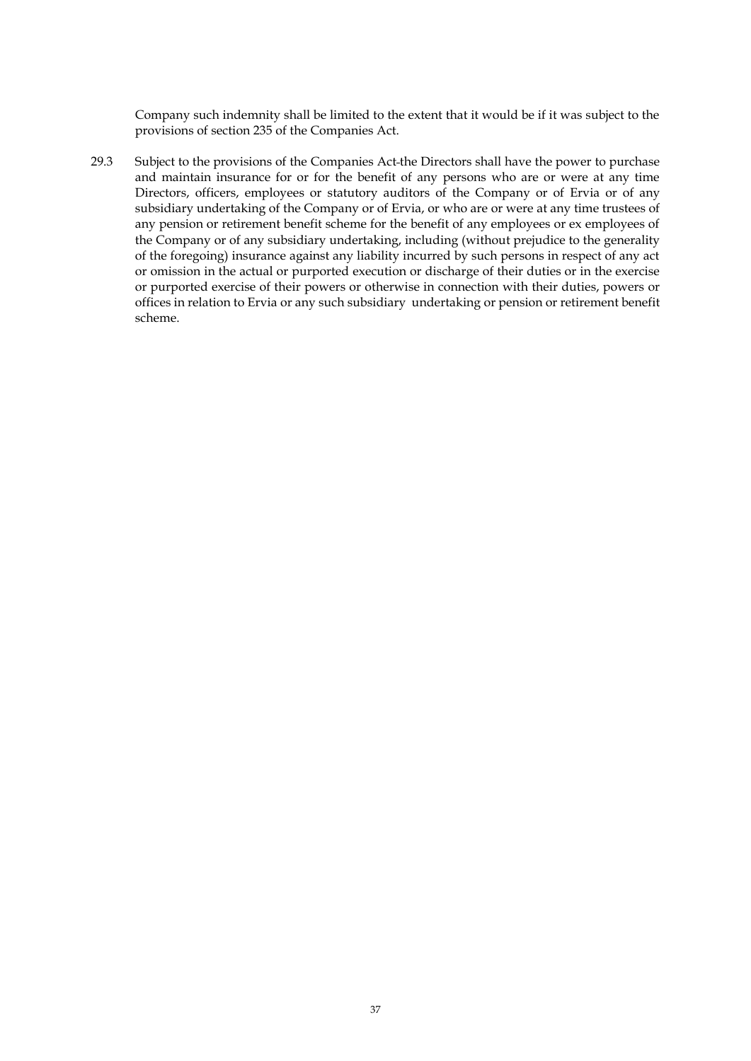Company such indemnity shall be limited to the extent that it would be if it was subject to the provisions of section 235 of the Companies Act.

29.3 Subject to the provisions of the Companies Act the Directors shall have the power to purchase and maintain insurance for or for the benefit of any persons who are or were at any time Directors, officers, employees or statutory auditors of the Company or of Ervia or of any subsidiary undertaking of the Company or of Ervia, or who are or were at any time trustees of any pension or retirement benefit scheme for the benefit of any employees or ex employees of the Company or of any subsidiary undertaking, including (without prejudice to the generality of the foregoing) insurance against any liability incurred by such persons in respect of any act or omission in the actual or purported execution or discharge of their duties or in the exercise or purported exercise of their powers or otherwise in connection with their duties, powers or offices in relation to Ervia or any such subsidiary undertaking or pension or retirement benefit scheme.